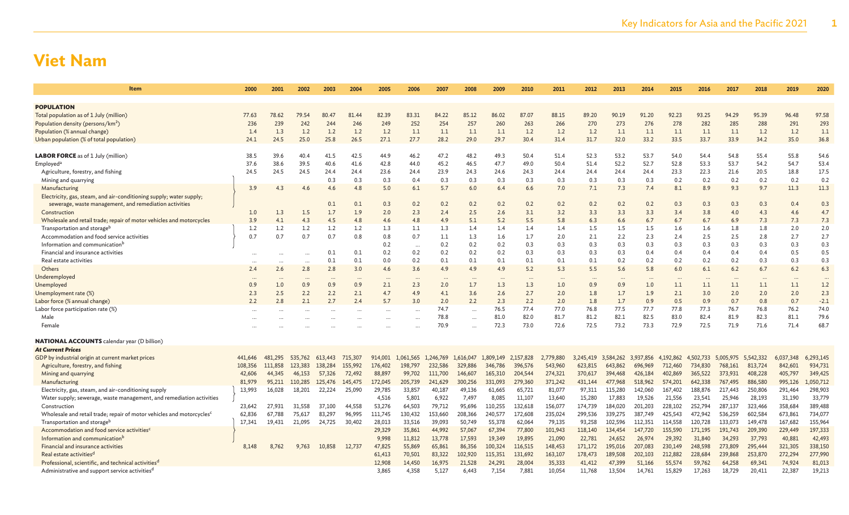| Item                                                                              | 2000      | 2001      | 2002     | 2003    | 2004     | 2005     | 2006      | 2007      | 2008      | 2009                 | 2010      | 2011      | 2012      | 2013      | 2014      | 2015      | 2016      | 2017      | 2018      | 2019      | 2020      |
|-----------------------------------------------------------------------------------|-----------|-----------|----------|---------|----------|----------|-----------|-----------|-----------|----------------------|-----------|-----------|-----------|-----------|-----------|-----------|-----------|-----------|-----------|-----------|-----------|
|                                                                                   |           |           |          |         |          |          |           |           |           |                      |           |           |           |           |           |           |           |           |           |           |           |
| <b>POPULATION</b>                                                                 |           |           |          |         |          |          |           |           |           |                      |           |           |           |           |           |           |           |           |           |           |           |
| Total population as of 1 July (million)                                           | 77.63     | 78.62     | 79.54    | 80.47   | 81.44    | 82.39    | 83.31     | 84.22     | 85.12     | 86.02                | 87.07     | 88.15     | 89.20     | 90.19     | 91.20     | 92.23     | 93.25     | 94.29     | 95.39     | 96.48     | 97.58     |
| Population density (persons/km <sup>2</sup> )                                     | 236       | 239       | 242      | 244     | 246      | 249      | 252       | 254       | 257       | 260                  | 263       | 266       | 270       | 273       | 276       | 278       | 282       | 285       | 288       | 291       | 293       |
| Population (% annual change)                                                      | 1.4       | 1.3       | 1.2      | 1.2     | 1.2      | 1.2      | 1.1       | 1.1       | 1.1       | 1.1                  | 1.2       | 1.2       | 1.2       | 1.1       | 1.1       | 1.1       | 1.1       | 1.1       | 1.2       | 1.2       | 1.1       |
| Urban population (% of total population)                                          | 24.1      | 24.5      | 25.0     | 25.8    | 26.5     | 27.1     | 27.7      | 28.2      | 29.0      | 29.7                 | 30.4      | 31.4      | 31.7      | 32.0      | 33.2      | 33.5      | 33.7      | 33.9      | 34.2      | 35.0      | 36.8      |
| <b>LABOR FORCE</b> as of 1 July (million)                                         | 38.5      | 39.6      | 40.4     | 41.5    | 42.5     | 44.9     | 46.2      | 47.2      | 48.2      | 49.3                 | 50.4      | 51.4      | 52.3      | 53.2      | 53.7      | 54.0      | 54.4      | 54.8      | 55.4      | 55.8      | 54.6      |
| Employed <sup>®</sup>                                                             | 37.6      | 38.6      | 39.5     | 40.6    | 41.6     | 42.8     | 44.0      | 45.2      | 46.5      | 47.7                 | 49.0      | 50.4      | 51.4      | 52.2      | 52.7      | 52.8      | 53.3      | 53.7      | 54.2      | 54.7      | 53.4      |
| Agriculture, forestry, and fishing                                                | 24.5      | 24.5      | 24.5     | 24.4    | 24.4     | 23.6     | 24.4      | 23.9      | 24.3      | 24.6                 | 24.3      | 24.4      | 24.4      | 24.4      | 24.4      | 23.3      | 22.3      | 21.6      | 20.5      | 18.8      | 17.5      |
| Mining and quarrying                                                              |           |           |          | 0.3     | 0.3      | 0.3      | 0.4       | 0.3       | 0.3       | 0.3                  | 0.3       | 0.3       | 0.3       | 0.3       | 0.3       | 0.2       | 0.2       | 0.2       | 0.2       | 0.2       | 0.2       |
| Manufacturing                                                                     | 3.9       | 4.3       | 4.6      | 4.6     | 4.8      | 5.0      | 6.1       | 5.7       | 6.0       | 6.4                  | 6.6       | 7.0       | 7.1       | 7.3       | 7.4       | 8.1       | 8.9       | 9.3       | 9.7       | 11.3      | 11.3      |
| Electricity, gas, steam, and air-conditioning supply; water supply;               |           |           |          |         |          |          |           |           |           |                      |           |           |           |           |           |           |           |           |           |           |           |
| sewerage, waste management, and remediation activities                            |           |           |          | 0.1     | 0.1      | 0.3      | 0.2       | 0.2       | 0.2       | 0.2                  | 0.2       | 0.2       | 0.2       | 0.2       | 0.2       | 0.3       | 0.3       | 0.3       | 0.3       | 0.4       | 0.3       |
| Construction                                                                      | 1.0       | 1.3       | 1.5      | 1.7     | 1.9      | 2.0      | 2.3       | 2.4       | 2.5       | 2.6                  | 3.1       | 3.2       | 3.3       | 3.3       | 3.3       | 3.4       | 3.8       | 4.0       | 4.3       | 4.6       | 4.7       |
| Wholesale and retail trade; repair of motor vehicles and motorcycles              | 3.9       | 4.1       | 4.3      | 4.5     | 4.8      | 4.6      | 4.8       | 4.9       | 5.1       | 5.2                  | 5.5       | 5.8       | 6.3       | 6.6       | 6.7       | 6.7       | 6.7       | 6.9       | 7.3       | 7.3       | 7.3       |
| Transportation and storage <sup>b</sup>                                           | 1.2       | 1.2       | 1.2      | 1.2     | 1.2      | 1.3      | 1.1       | 1.3       | 1.4       | 1.4                  | 1.4       | 1.4       | 1.5       | 1.5       | 1.5       | 1.6       | 1.6       | 1.8       | 1.8       | 2.0       | 2.0       |
| Accommodation and food service activities                                         | 0.7       | 0.7       | 0.7      | 0.7     | 0.8      | 0.8      | 0.7       | 1.1       | 1.3       | 1.6                  | 1.7       | 2.0       | 2.1       | 2.2       | 2.3       | 2.4       | 2.5       | 2.5       | 2.8       | 2.7       | 2.7       |
| Information and communication <sup>b</sup>                                        |           |           |          |         |          | 0.2      | $\ddotsc$ | 0.2       | 0.2       | 0.2                  | 0.3       | 0.3       | 0.3       | 0.3       | 0.3       | 0.3       | 0.3       | 0.3       | 0.3       | 0.3       | 0.3       |
| Financial and insurance activities                                                |           |           |          | 0.1     | 0.1      | 0.2      | 0.2       | 0.2       | 0.2       | 0.2                  | 0.3       | 0.3       | 0.3       | 0.3       | 0.4       | 0.4       | 0.4       | 0.4       | 0.4       | 0.5       | 0.5       |
| Real estate activities                                                            |           |           |          | 0.1     | 0.1      | 0.0      | 0.2       | 0.1       | 0.1       | 0.1                  | 0.1       | 0.1       | 0.1       | 0.2       | 0.2       | 0.2       | 0.2       | 0.2       | 0.3       | 0.3       | 0.3       |
| Others                                                                            | 2.4       | 2.6       | 2.8      | 2.8     | 3.0      | 4.6      | 3.6       | 4.9       | 4.9       | 4.9                  | 5.2       | 5.3       | 5.5       | 5.6       | 5.8       | 6.0       | 6.1       | 6.2       | 6.7       | 6.2       | 6.3       |
| Underemployed                                                                     | $\ddotsc$ | $\ddotsc$ | $\cdots$ |         | $\cdots$ | $\cdots$ |           | $\cdots$  | $\cdots$  | $\ddot{\phantom{a}}$ | $\cdots$  |           | $\cdots$  |           | $\cdots$  | $\cdots$  |           | $\cdots$  | $\cdots$  | $\cdots$  | $\cdots$  |
| Unemployed                                                                        | 0.9       | 1.0       | 0.9      | 0.9     | 0.9      | 2.1      | 2.3       | 2.0       | 1.7       | 1.3                  | 1.3       | 1.0       | 0.9       | 0.9       | 1.0       | 1.1       | 1.1       | 1.1       | 1.1       | 1.1       | 1.2       |
| Unemployment rate (%)                                                             | 2.3       | 2.5       | 2.2      | 2.2     | 2.1      | 4.7      | 4.9       | 4.1       | 3.6       | 2.6                  | 2.7       | 2.0       | 1.8       | 1.7       | 1.9       | 2.1       | 3.0       | 2.0       | 2.0       | 2.0       | 2.3       |
| Labor force (% annual change)                                                     | 2.2       | 2.8       | 2.1      | 2.7     | 2.4      | 5.7      | 3.0       | 2.0       | 2.2       | 2.3                  | 2.2       | 2.0       | 1.8       | 1.7       | 0.9       | 0.5       | 0.9       | 0.7       | 0.8       | 0.7       | $-2.1$    |
| Labor force participation rate (%)                                                | $\ddotsc$ |           |          |         |          | $\cdots$ |           | 74.7      | $\cdots$  | 76.5                 | 77.4      | 77.0      | 76.8      | 77.5      | 77.7      | 77.8      | 77.3      | 76.7      | 76.8      | 76.2      | 74.0      |
| Male                                                                              | $\ddotsc$ |           |          |         |          | $\cdots$ |           | 78.8      | $\cdots$  | 81.0                 | 82.0      | 81.7      | 81.2      | 82.1      | 82.5      | 83.0      | 82.4      | 81.9      | 82.3      | 81.1      | 79.6      |
| Female                                                                            |           |           |          |         |          |          |           | 70.9      |           | 72.3                 | 73.0      | 72.6      | 72.5      | 73.2      | 73.3      | 72.9      | 72.5      | 71.9      | 71.6      | 71.4      | 68.7      |
| <b>NATIONAL ACCOUNTS</b> calendar year (D billion)                                |           |           |          |         |          |          |           |           |           |                      |           |           |           |           |           |           |           |           |           |           |           |
| <b>At Current Prices</b>                                                          |           |           |          |         |          |          |           |           |           |                      |           |           |           |           |           |           |           |           |           |           |           |
| GDP by industrial origin at current market prices                                 | 441,646   | 481,295   | 535,762  | 613,443 | 715,307  | 914,001  | 1,061,565 | 1,246,769 | 1,616,047 | 1,809,149            | 2,157,828 | 2,779,880 | 3,245,419 | 3,584,262 | 3,937,856 | 4,192,862 | 4,502,733 | 5,005,975 | 5,542,332 | 6,037,348 | 6,293,145 |
| Agriculture, forestry, and fishing                                                | 108,356   | 111,858   | 123,383  | 138,284 | 155,992  | 176,402  | 198,797   | 232,586   | 329,886   | 346,786              | 396,576   | 543,960   | 623,815   | 643,862   | 696,969   | 712,460   | 734,830   | 768,161   | 813,724   | 842,601   | 934,731   |
| Mining and quarrying                                                              | 42,606    | 44,345    | 46,153   | 57,326  | 72,492   | 88,897   | 99,702    | 111,700   | 146,607   | 165,310              | 204,544   | 274,321   | 370,617   | 394,468   | 426,184   | 402,869   | 365,522   | 373,931   | 408,228   | 405,797   | 349,425   |
| Manufacturing                                                                     | 81,979    | 95,211    | 110,285  | 125,476 | 145,475  | 172,045  | 205,739   | 241,629   | 300,256   | 331,093              | 279,360   | 371,242   | 431,144   | 477,968   | 518,962   | 574,201   | 642,338   | 767,495   | 886,580   | 995,126   | 1,050,712 |
| Electricity, gas, steam, and air-conditioning supply                              | 13,993    | 16,028    | 18,201   | 22,224  | 25,090   | 29,785   | 33,857    | 40,187    | 49,136    | 61,665               | 65,721    | 81,077    | 97,311    | 115,280   | 142,060   | 167,402   | 188,876   | 217,443   | 250,806   | 291,464   | 298,903   |
| Water supply; sewerage, waste management, and remediation activities              |           |           |          |         |          | 4,516    | 5,801     | 6,922     | 7,497     | 8,085                | 11,107    | 13,640    | 15,280    | 17,883    | 19,526    | 21,556    | 23,541    | 25,946    | 28,193    | 31,190    | 33,779    |
| Construction                                                                      | 23,642    | 27,931    | 31,558   | 37,100  | 44,558   | 53,276   | 64,503    | 79,712    | 95,696    | 110,255              | 132,618   | 156,077   | 174,739   | 184,020   | 201,203   | 228,102   | 252,794   | 287,137   | 323,466   | 358,684   | 389,488   |
| Wholesale and retail trade; repair of motor vehicles and motorcycles <sup>c</sup> | 62.836    | 67.788    | 75.617   | 83.297  | 96.995   | 111,745  | 130,432   | 153,660   | 208,366   | 240,577              | 172,608   | 235,024   | 299,536   | 339,275   | 387.749   | 425.543   | 472,942   | 536,259   | 602,584   | 673,861   | 734,077   |
| Transportation and storage <sup>b</sup>                                           | 17.341    | 19,431    | 21,095   | 24,725  | 30.402   | 28,013   | 33,516    | 39,093    | 50,749    | 55,378               | 62,064    | 79,135    | 93,258    | 102,596   | 112,351   | 114,558   | 120,728   | 133,073   | 149,478   | 167,682   | 155,964   |
| Accommodation and food service activities <sup>c</sup>                            |           |           |          |         |          | 29,329   | 35,861    | 44,992    | 57,067    | 67,394               | 77,800    | 101,943   | 118,140   | 134,454   | 147,720   | 155,590   | 171,195   | 191,743   | 209,390   | 229,449   | 197,333   |
| Information and communication <sup>b</sup>                                        |           |           |          |         |          | 9,998    | 11,812    | 13,778    | 17,593    | 19,349               | 19,895    | 21,090    | 22,781    | 24,652    | 26,974    | 29,392    | 31,840    | 34,293    | 37,793    | 40,881    | 42,493    |
| Financial and insurance activities                                                | 8,148     | 8,762     | 9,763    | 10,858  | 12,737   | 47,825   | 55,869    | 65,861    | 86,356    | 100,324              | 116,515   | 148,453   | 171,172   | 195,016   | 207,083   | 230,149   | 248,598   | 273,809   | 295,444   | 321,305   | 338,150   |
| Real estate activities <sup>d</sup>                                               |           |           |          |         |          | 61,413   | 70,501    | 83,322    | 102,920   | 115,351              | 131,692   | 163,107   | 178,473   | 189,508   | 202.103   | 212,882   | 228,684   | 239,868   | 253,870   | 272,294   | 277,990   |
| Professional, scientific, and technical activities <sup>d</sup>                   |           |           |          |         |          | 12,908   | 14,450    | 16,975    | 21,528    | 24,291               | 28,004    | 35,333    | 41,412    | 47,399    | 51,166    | 55,574    | 59,762    | 64,258    | 69,341    | 74,924    | 81,013    |
| Administrative and support service activities <sup>d</sup>                        |           |           |          |         |          | 3,865    | 4,358     | 5,127     | 6,443     | 7,154                | 7,881     | 10,054    | 11,768    | 13,504    | 14,761    | 15,829    | 17,263    | 18,729    | 20,411    | 22,387    | 19,213    |
|                                                                                   |           |           |          |         |          |          |           |           |           |                      |           |           |           |           |           |           |           |           |           |           |           |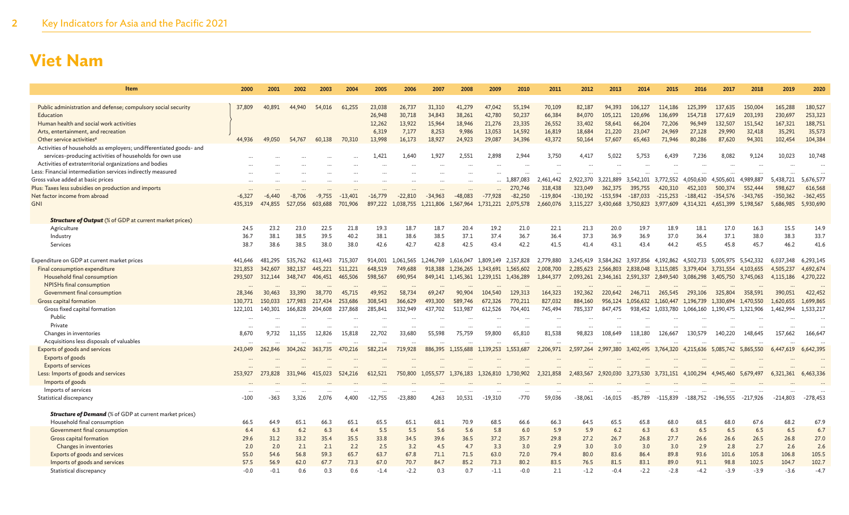| Item                                                               | 2000     | 2001     | 2002     | 2003     | 2004      | 2005      | 2006      | 2007              | 2008              | 2009                | 2010                | 2011       | 2012       | 2013                          | 2014       | 2015                          | 2016       | 2017                                    | 2018       | 2019       | 2020       |
|--------------------------------------------------------------------|----------|----------|----------|----------|-----------|-----------|-----------|-------------------|-------------------|---------------------|---------------------|------------|------------|-------------------------------|------------|-------------------------------|------------|-----------------------------------------|------------|------------|------------|
|                                                                    |          |          |          |          |           |           |           |                   |                   |                     |                     |            |            |                               |            |                               |            |                                         |            |            |            |
| Public administration and defense; compulsory social security      | 37,809   | 40,891   | 44,940   | 54,016   | 61,255    | 23,038    | 26,737    | 31,310            | 41,279            | 47,042              | 55,194              | 70,109     | 82,187     | 94,393                        | 106,127    | 114,186                       | 125,399    | 137,635                                 | 150,004    | 165,288    | 180,527    |
| Education                                                          |          |          |          |          |           | 26,948    | 30,718    | 34,843            | 38,261            | 42,780              | 50,237              | 66,384     | 84,070     | 105,121                       | 120,696    | 136,699                       | 154,718    | 177,619                                 | 203,193    | 230,697    | 253,323    |
| Human health and social work activities                            |          |          |          |          |           | 12,262    | 13,922    | 15,964            | 18,946            | 21,276              | 23,335              | 26,552     | 33,402     | 58,641                        | 66,204     | 72,206                        | 96,949     | 132,507                                 | 151,542    | 167,321    | 188,751    |
| Arts, entertainment, and recreation                                |          |          |          |          |           | 6,319     | 7,177     | 8,253             | 9,986             | 13,053              | 14,592              | 16,819     | 18,684     | 21,220                        | 23,047     | 24,969                        | 27,128     | 29,990                                  | 32,418     | 35,291     | 35,573     |
| Other service activities <sup>e</sup>                              | 44,936   | 49,050   | 54,767   | 60,138   | 70,310    | 13,998    | 16,173    | 18,927            | 24,923            | 29,087              | 34,396              | 43,372     | 50,164     | 57,607                        | 65,463     | 71,946                        | 80,286     | 87,620                                  | 94,301     | 102,454    | 104,384    |
| Activities of households as employers; undifferentiated goods- and |          |          |          |          |           |           |           |                   |                   |                     |                     |            |            |                               |            |                               |            |                                         |            |            |            |
| services-producing activities of households for own use            |          |          |          |          |           | 1.421     | 1.640     | 1.927             | 2.551             | 2,898               | 2.944               | 3.750      | 4.417      | 5,022                         | 5,753      | 6,439                         | 7.236      | 8,082                                   | 9.124      | 10,023     | 10,748     |
| Activities of extraterritorial organizations and bodies            |          |          |          |          |           |           |           |                   |                   |                     |                     |            |            |                               |            |                               |            |                                         |            |            |            |
| Less: Financial intermediation services indirectly measured        |          |          |          |          |           |           |           |                   |                   |                     |                     |            |            |                               |            |                               |            |                                         |            |            |            |
| Gross value added at basic prices                                  |          |          |          |          |           |           |           |                   |                   |                     | 1,887,083           | 2,461,442  | 2,922,370  | 3.221.889                     | 3.542.101  | 3,772,552                     | 4,050,630  | 4.505.601                               | 4,989,887  | 5,438,721  | 5,676,577  |
| Plus: Taxes less subsidies on production and imports               |          |          |          |          |           |           |           |                   |                   |                     | 270,746             | 318,438    | 323,049    | 362,375                       | 395,755    | 420,310                       | 452,103    | 500,374                                 | 552,444    | 598,627    | 616,568    |
| Net factor income from abroad                                      | $-6,327$ | $-6,440$ | $-8,706$ | $-9,755$ | $-13,401$ | $-16,779$ | $-22,810$ | $-34,963$         | $-48,083$         | $-77,928$           | $-82,250$           | $-119,804$ | $-130,192$ | $-153,594$                    | $-187,033$ | $-215,253$                    | $-188,412$ | $-354,576$                              | $-343,765$ | $-350,362$ | $-362,455$ |
| <b>GNI</b>                                                         | 435,319  | 474,855  | 527,056  | 603,688  | 701.906   | 897,222   | 1.038.755 | 1,211,806         | 1.567.964         | 1,731,221           | 2.075.578           | 2,660,076  | 3,115,227  | 3,430,668                     | 3.750.823  | 3.977.609                     | 4.314.321  | 4.651.399                               | 5,198,567  | 5,686,985  | 5,930,690  |
| <b>Structure of Output</b> (% of GDP at current market prices)     |          |          |          |          |           |           |           |                   |                   |                     |                     |            |            |                               |            |                               |            |                                         |            |            |            |
| Agriculture                                                        | 24.5     | 23.2     | 23.0     | 22.5     | 21.8      | 19.3      | 18.7      | 18.7              | 20.4              | 19.2                | 21.0                | 22.1       | 21.3       | 20.0                          | 19.7       | 18.9                          | 18.1       | 17.0                                    | 16.3       | 15.5       | 14.9       |
| Industry                                                           | 36.7     | 38.1     | 38.5     | 39.5     | 40.2      | 38.1      | 38.6      | 38.5              | 37.1              | 37.4                | 36.7                | 36.4       | 37.3       | 36.9                          | 36.9       | 37.0                          | 36.4       | 37.1                                    | 38.0       | 38.3       | 33.7       |
| Services                                                           | 38.7     | 38.6     | 38.5     | 38.0     | 38.0      | 42.6      | 42.7      | 42.8              | 42.5              | 43.4                | 42.2                | 41.5       | 41.4       | 43.1                          | 43.4       | 44.2                          | 45.5       | 45.8                                    | 45.7       | 46.2       | 41.6       |
| Expenditure on GDP at current market prices                        | 441.646  | 481.295  | 535,762  | 613.443  | 715.307   | 914.001   | 1.061.565 | 1.246.769         | 1.616.047         |                     | 1.809.149 2.157.828 | 2.779.880  | 3.245.419  | 3.584.262 3.937.856           |            | 4.192.862                     | 4.502.733  | 5.005.975 5.542.332                     |            | 6.037.348  | 6.293.145  |
| Final consumption expenditure                                      | 321,853  | 342,607  | 382,137  | 445,221  | 511,221   | 648,519   | 749,688   | 918,388           | 1,236,265         | 1,343,691           | 1,565,602           | 2,008,700  | 2,285,623  | 2,566,803                     |            | 2,838,048 3,115,085           | 3,379,404  | 3,731,554                               | 4,103,655  | 4,505,237  | 4,692,674  |
| Household final consumption                                        | 293,507  | 312,144  | 348,747  | 406,451  | 465,506   | 598,567   | 690,954   |                   | 849,141 1,145,361 | 1,239,151 1,436,289 |                     | 1,844,377  |            | 2,093,261 2,346,161 2,591,337 |            |                               |            | 2,849,540 3,086,298 3,405,750 3,745,063 |            | 4,115,186  | 4,270,222  |
| NPISHs final consumption                                           |          |          |          |          | $\cdots$  | $\ddotsc$ |           |                   |                   |                     | $\cdots$            |            |            |                               |            |                               |            |                                         | $\cdots$   |            |            |
| Government final consumption                                       | 28,346   | 30,463   | 33,390   | 38,770   | 45,715    | 49,952    | 58,734    | 69,247            | 90,904            | 104,540             | 129,313             | 164,323    | 192,362    | 220,642                       | 246,711    | 265,545                       | 293,106    | 325,804                                 | 358,591    | 390,051    | 422,452    |
| Gross capital formation                                            | 130,771  | 150,033  | 177,983  | 217,434  | 253,686   | 308,543   | 366,629   | 493,300           | 589,746           | 672,326             | 770,211             | 827,032    | 884,160    | 956,124                       | 1,056,632  | 1,160,447                     | 1,196,739  | 1,330,694                               | 1,470,550  | 1,620,655  | 1,699,865  |
| Gross fixed capital formation                                      | 122,101  | 140,301  | 166,828  | 204,608  | 237,868   | 285,841   | 332,949   | 437,702           | 513,987           | 612,526             | 704,401             | 745,494    | 785,337    | 847,475                       | 938,452    | 1,033,780                     | 1,066,160  | 1,190,475                               | 1,321,906  | 1,462,994  | 1,533,217  |
| Public                                                             |          |          |          |          |           |           |           |                   |                   |                     |                     |            |            |                               |            |                               |            |                                         |            |            |            |
| Private                                                            |          |          |          |          |           |           |           |                   |                   |                     |                     |            |            |                               |            |                               |            |                                         |            |            |            |
| Changes in inventories                                             | 8,670    | 9,732    | 11,155   | 12,826   | 15,818    | 22,702    | 33,680    | 55,598            | 75,759            | 59,800              | 65,810              | 81,538     | 98,823     | 108,649                       | 118,180    | 126,667                       | 130,579    | 140,220                                 | 148,645    | 157,662    | 166,647    |
| Acquisitions less disposals of valuables                           |          |          |          |          |           |           |           |                   |                   |                     |                     |            |            |                               |            |                               |            |                                         |            |            |            |
| Exports of goods and services                                      | 243,049  | 262,846  | 304,262  | 363,735  | 470,216   | 582,214   | 719,928   | 886,395           | 1.155,688         | 1.139.253           | 1,553,687           | 2,206,971  | 2.597.264  | 2.997.380                     | 3.402.495  | 3.764.320                     | 4.215.636  | 5.085.742                               | 5.865,550  | 6.447.619  | 6.642.395  |
| Exports of goods                                                   |          |          |          |          |           |           |           |                   |                   |                     |                     |            |            |                               |            |                               |            |                                         |            |            |            |
| <b>Exports of services</b>                                         |          |          |          |          |           |           |           |                   |                   |                     |                     |            |            |                               |            |                               |            |                                         |            |            |            |
| Less: Imports of goods and services                                | 253,927  | 273,828  | 331,946  | 415,023  | 524,216   | 612,521   |           | 750,800 1,055,577 | 1,376,183         |                     | 1,326,810 1,730,902 | 2,321,858  | 2,483,567  |                               |            | 2,920,030 3,273,530 3,731,151 | 4,100,294  | 4,945,460                               | 5,679,497  | 6,321,361  | 6,463,336  |
| Imports of goods                                                   |          |          |          |          |           |           |           |                   |                   |                     |                     |            |            |                               |            |                               |            |                                         |            |            |            |
| Imports of services                                                |          |          |          |          |           |           |           |                   |                   |                     |                     |            |            |                               |            |                               |            |                                         |            |            |            |
| Statistical discrepancy                                            | $-100$   | $-363$   | 3,326    | 2.076    | 4.400     | $-12,755$ | -23,880   | 4,263             | 10,531            | $-19,310$           | $-770$              | 59,036     | $-38,061$  | $-16,015$                     | -85,789    | $-115,839$                    | $-188,752$ | $-196,555$                              | $-217,926$ | $-214,803$ | $-278,453$ |
| <b>Structure of Demand</b> (% of GDP at current market prices)     |          |          |          |          |           |           |           |                   |                   |                     |                     |            |            |                               |            |                               |            |                                         |            |            |            |
| Household final consumption                                        | 66.5     | 64.9     | 65.1     | 66.3     | 65.1      | 65.5      | 65.1      | 68.1              | 70.9              | 68.5                | 66.6                | 66.3       | 64.5       | 65.5                          | 65.8       | 68.0                          | 68.5       | 68.0                                    | 67.6       | 68.2       | 67.9       |
| Government final consumption                                       | 6.4      | 6.3      | 6.2      | 6.3      | 6.4       | 5.5       | 5.5       | 5.6               | 5.6               | 5.8                 | 6.0                 | 5.9        | 5.9        | 6.2                           | 6.3        | 6.3                           | 6.5        | 6.5                                     | 6.5        | 6.5        | 6.7        |
| Gross capital formation                                            | 29.6     | 31.2     | 33.2     | 35.4     | 35.5      | 33.8      | 34.5      | 39.6              | 36.5              | 37.2                | 35.7                | 29.8       | 27.2       | 26.7                          | 26.8       | 27.7                          | 26.6       | 26.6                                    | 26.5       | 26.8       | 27.0       |
| Changes in inventories                                             | 2.0      | 2.0      | 2.1      | 2.1      | 2.2       | 2.5       | 3.2       | 4.5               | 4.7               | 3.3                 | 3.0                 | 2.9        | 3.0        | 3.0                           | 3.0        | 3.0                           | 2.9        | 2.8                                     | 2.7        | 2.6        | 2.6        |
| Exports of goods and services                                      | 55.0     | 54.6     | 56.8     | 59.3     | 65.7      | 63.7      | 67.8      | 71.1              | 71.5              | 63.0                | 72.0                | 79.4       | 80.0       | 83.6                          | 86.4       | 89.8                          | 93.6       | 101.6                                   | 105.8      | 106.8      | 105.5      |
| Imports of goods and services                                      | 57.5     | 56.9     | 62.0     | 67.7     | 73.3      | 67.0      | 70.7      | 84.7              | 85.2              | 73.3                | 80.2                | 83.5       | 76.5       | 81.5                          | 83.1       | 89.0                          | 91.1       | 98.8                                    | 102.5      | 104.7      | 102.7      |
| Statistical discrepancy                                            | $-0.0$   | $-0.1$   | 0.6      | 0.3      | 0.6       | $-1.4$    | $-2.2$    | 0.3               | 0.7               | $-1.1$              | $-0.0$              | 2.1        | $-1.2$     | -0.4                          | $-2.2$     | $-2.8$                        | $-4.2$     | $-3.9$                                  | $-3.9$     | $-3.6$     | $-4.7$     |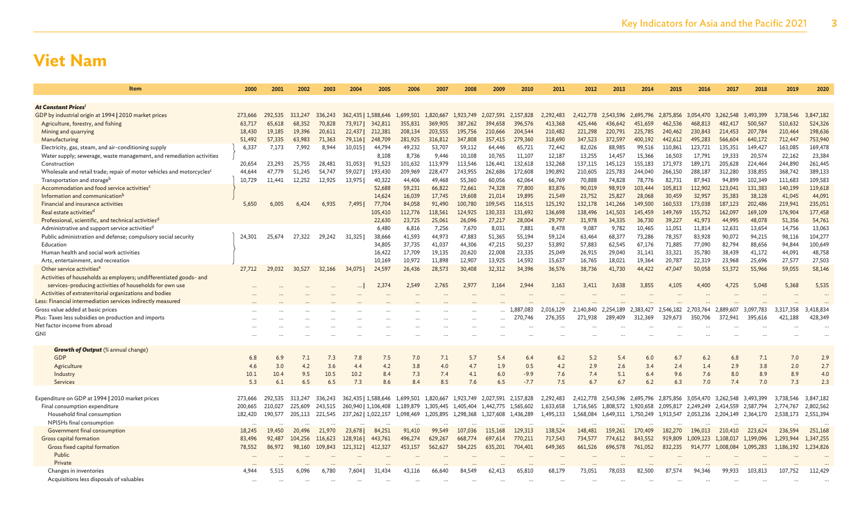| <b>Item</b>                                                                                                        | 2000             | 2001             | 2002    | 2003    | 2004                | 2005                | 2006                                    | 2007      | 2008      | 2009               | 2010               | 2011               | 2012               | 2013                          | 2014               | 2015               | 2016                 | 2017             | 2018                 | 2019                 | 2020                 |
|--------------------------------------------------------------------------------------------------------------------|------------------|------------------|---------|---------|---------------------|---------------------|-----------------------------------------|-----------|-----------|--------------------|--------------------|--------------------|--------------------|-------------------------------|--------------------|--------------------|----------------------|------------------|----------------------|----------------------|----------------------|
|                                                                                                                    |                  |                  |         |         |                     |                     |                                         |           |           |                    |                    |                    |                    |                               |                    |                    |                      |                  |                      |                      |                      |
| At Constant Prices <sup>f</sup>                                                                                    |                  |                  |         |         |                     |                     |                                         |           |           |                    |                    |                    |                    |                               |                    |                    |                      |                  |                      |                      |                      |
| GDP by industrial origin at 1994   2010 market prices                                                              | 273,666          | 292.535          | 313,247 | 336,243 |                     |                     | 362,435   1,588,646 1,699,501           | 1,820,667 | 1,923,749 | 2.027.591          | 2,157,828          | 2.292.483          | 2.412,778          | 2.543.596 2.695.796           |                    | 2,875,856          | 3.054.470            | 3.262.548        | 3.493.399            | 3,738,546            | 3,847,182            |
| Agriculture, forestry, and fishing                                                                                 | 63,717           | 65,618           | 68,352  | 70,828  | 73,917              | 342,811             | 355,831                                 | 369,905   | 387,262   | 394,658            | 396,576            | 413,368            | 425,446            | 436,642                       | 451,659            | 462,536            | 468,813              | 482,417          | 500,567              | 510,632              | 524,326              |
| Mining and quarrying                                                                                               | 18,430           | 19,185           | 19,396  | 20,611  | 22,437              | 212,381             | 208,134                                 | 203,555   | 195,756   | 210,666            | 204,544            | 210,482            | 221,298            | 220,791                       | 225,785            | 240,462            | 230,843              | 214,453          | 207,784              | 210,464              | 198,636              |
| Manufacturing                                                                                                      | 51,492           | 57,335           | 63,983  | 71,363  | 79,116              | 248,709             | 281,925                                 | 316,812   | 347,808   | 357,415            | 279,360            | 318,690            | 347,523            | 372,597                       | 400,192            | 442,612            | 495,283              | 566,604          | 640,172              | 712,447              | 753,940              |
| Electricity, gas, steam, and air-conditioning supply                                                               | 6,337            | 7,173            | 7,992   | 8,944   | 10,015              | 44,794              | 49,232                                  | 53,707    | 59,112    | 64,446             | 65,721             | 72,442             | 82,026             | 88,985                        | 99,516             | 110,861            | 123,721              | 135,351          | 149,427              | 163,085              | 169,478              |
| Water supply; sewerage, waste management, and remediation activities                                               |                  |                  |         |         |                     | 8,108               | 8,736                                   | 9,446     | 10,108    | 10,765             | 11,107             | 12,187             | 13,255             | 14,457                        | 15,366             | 16,503             | 17,791               | 19,333           | 20,574               | 22,162               | 23,384               |
| Construction                                                                                                       | 20,654           | 23,293           | 25,755  | 28,481  | 31.053              | 91,523              | 101,632                                 | 113,979   | 113,546   | 126,441            | 132,618            | 132,268            | 137.115            | 145,123                       | 155,183            | 171,973            | 189,171              | 205,628          | 224,464              | 244,890              | 261,445              |
| Wholesale and retail trade; repair of motor vehicles and motorcycles <sup>c</sup>                                  | 44.644           | 47,779           | 51,245  | 54,747  | 59,027              | 193,430             | 209,969                                 | 228,477   | 243,955   | 262,686            | 172,608            | 190,892            | 210,605            | 225,783                       | 244,040            | 266,150            | 288,187              | 312,280          | 338,855              | 368,742              | 389,133              |
| Transportation and storage <sup>b</sup>                                                                            | 10,729           | 11,441           | 12,252  | 12,925  | 13,975              | 40,322              | 44,406                                  | 49,468    | 55,360    | 60,056             | 62,064             | 66,769             | 70,888             | 74,828                        | 78,776             | 82,731             | 87,943               | 94,899           | 102,349              | 111,683              | 109,583              |
| Accommodation and food service activities <sup>c</sup>                                                             |                  |                  |         |         |                     | 52,688              | 59,231                                  | 66,822    | 72,661    | 74,328             | 77,800             | 83,876             | 90,019             | 98,919                        | 103,444            | 105,813            | 112,902              | 123,041          | 131,383              | 140,199              | 119,618              |
| Information and communication <sup>b</sup>                                                                         |                  |                  |         |         |                     | 14,624              | 16,039                                  | 17,745    | 19,608    | 21,014             | 19,895             | 21,549             | 23,752             | 25,827                        | 28,068             | 30,459             | 32,957               | 35,383           | 38,128               | 41,045               | 44,091               |
| Financial and insurance activities                                                                                 | 5,650            | 6,005            | 6,424   | 6,935   | 7,495               | 77,704              | 84,058                                  | 91,490    | 100,780   | 109,545            | 116,515            | 125,192            | 132,178            | 141,266                       | 149,500            | 160,533            | 173,038              | 187,123          | 202,486              | 219,941              | 235,051              |
| Real estate activities <sup>d</sup>                                                                                |                  |                  |         |         |                     | 105,410             | 112,776                                 | 118,561   | 124,925   | 130,333            | 131,692            | 136,698            | 138,496            | 141,503                       | 145,459            | 149,769            | 155,752              | 162,097          | 169,109              | 176,904              | 177,458              |
| Professional, scientific, and technical activities <sup>d</sup>                                                    |                  |                  |         |         |                     | 22,630              | 23,725                                  | 25,061    | 26,096    | 27,217             | 28,004             | 29,797             | 31,978             | 34,335                        | 36,730             | 39,227             | 41,973               | 44,995           | 48,078               | 51,356               | 54,761               |
| Administrative and support service activities <sup>d</sup>                                                         |                  |                  |         |         |                     | 6,480               | 6,816                                   | 7,256     | 7,670     | 8,031              | 7,881              | 8,478              | 9,087              | 9,782                         | 10,465             | 11,051             | 11,814               | 12,631           | 13,654               | 14,756               | 13,063               |
| Public administration and defense; compulsory social security                                                      | 24,301           | 25,674           | 27,322  | 29,242  | 31,325              | 38,666              | 41,593                                  | 44,973    | 47,883    | 51,365             | 55,194             | 59,124             | 63,464             | 68,377                        | 73,286             | 78,357             | 83,928               | 90,072           | 94,215               | 98,116               | 104,277              |
| Education                                                                                                          |                  |                  |         |         |                     | 34,805              | 37,735                                  | 41,037    | 44,306    | 47,215             | 50,237             | 53,892             | 57,883             | 62,545                        | 67,176             | 71,885             | 77,090               | 82,794           | 88,656               | 94,844               | 100,649              |
| Human health and social work activities                                                                            |                  |                  |         |         |                     | 16,422              | 17,709<br>10.972                        | 19,135    | 20,620    | 22,008<br>13.925   | 23,335             | 25,049             | 26,915             | 29,040                        | 31,141<br>19.364   | 33,321             | 35,780               | 38,439<br>23,968 | 41,172               | 44,091               | 48,758               |
| Arts, entertainment, and recreation                                                                                |                  |                  |         |         |                     | 10,169              |                                         | 11.898    | 12,907    |                    | 14.592             | 15,637             | 16,765             | 18,021                        |                    | 20,787             | 22,319               |                  | 25,696               | 27,577               | 27,503               |
| Other service activities <sup>e</sup>                                                                              | 27,712           | 29,032           | 30,527  | 32,166  | 34,075              | 24,597              | 26,436                                  | 28,573    | 30,408    | 32,312             | 34,396             | 36,576             | 38,736             | 41,730                        | 44,422             | 47,047             | 50,058               | 53,372           | 55,966               | 59,055               | 58,146               |
| Activities of households as employers; undifferentiated goods- and                                                 |                  |                  |         |         |                     |                     |                                         |           |           | 3.164              | 2.944              | 3.163              |                    | 3.638                         | 3.855              |                    | 4.400                | 4.725            | 5.048                | 5.368                | 5,535                |
| services-producing activities of households for own use<br>Activities of extraterritorial organizations and bodies |                  |                  |         |         |                     | 2,374               | 2,549                                   | 2,765     | 2,977     |                    |                    |                    | 3,411              |                               |                    | 4.105              |                      |                  |                      |                      |                      |
| Less: Financial intermediation services indirectly measured                                                        |                  |                  |         |         |                     |                     |                                         |           |           |                    |                    |                    |                    |                               |                    |                    |                      |                  |                      |                      |                      |
| Gross value added at basic prices                                                                                  |                  |                  |         |         |                     |                     |                                         |           |           |                    | 1,887,083          | 2.016.129          | 2.140.840          | 2.254.189                     | 2.383.427          | 2,546,182          | 2.703.764            | 2.889.607        | 3.097.783            | 3.317.358            | 3,418,834            |
| Plus: Taxes less subsidies on production and imports                                                               |                  |                  |         |         |                     |                     |                                         |           |           |                    | 270,746            | 276,355            | 271.938            | 289,409                       | 312.369            | 329,673            | 350,706              | 372.941          | 395.616              | 421.188              | 428,349              |
| Net factor income from abroad                                                                                      |                  |                  |         |         |                     |                     |                                         |           |           |                    |                    |                    |                    |                               |                    |                    |                      |                  |                      |                      |                      |
| GNI                                                                                                                |                  |                  |         |         |                     |                     |                                         |           |           |                    |                    |                    |                    |                               |                    |                    |                      |                  |                      |                      |                      |
|                                                                                                                    |                  |                  |         |         |                     |                     |                                         |           |           |                    |                    |                    |                    |                               |                    |                    |                      |                  |                      |                      |                      |
| <b>Growth of Output</b> (% annual change)                                                                          |                  |                  |         |         |                     |                     |                                         |           |           |                    |                    |                    |                    |                               |                    |                    |                      |                  |                      |                      |                      |
| <b>GDP</b>                                                                                                         | 6.8              | 6.9              | 7.1     | 7.3     | 7.8                 | 7.5                 | 7.0                                     | 7.1       | 5.7       | 5.4                | 6.4                | 6.2                | 5.2                | 5.4                           | 6.0                | 6.7                | 6.2                  | 6.8              | 7.1                  | 7.0                  | 2.9                  |
| Agriculture                                                                                                        | 4.6              | 3.0              | 4.2     | 3.6     | 4.4                 | 4.2                 | 3.8                                     | 4.0       | 4.7       | 1.9                | 0.5                | 4.2                | 2.9                | 2.6                           | 3.4                | 2.4                | 1.4                  | 2.9              | 3.8                  | 2.0                  | 2.7                  |
| Industry                                                                                                           | 10.1             | 10.4             | 9.5     | 10.5    | 10.2                | 8.4                 | 7.3                                     | 7.4       | 4.1       | 6.0                | $-9.9$             | 7.6                | 7.4                | 5.1                           | 6.4                | 9.6                | 7.6                  | 8.0              | 8.9                  | 8.9                  | 4.0                  |
| Services                                                                                                           | 5.3              | 6.1              | 6.5     | 6.5     | 7.3                 | 8.6                 | 8.4                                     | 8.5       | 7.6       | 6.5                | $-7.7$             | 7.5                | 6.7                | 6.7                           | 6.2                | 6.3                | 7.0                  | 7.4              | 7.0                  | 7.3                  | 2.3                  |
|                                                                                                                    |                  |                  |         |         |                     |                     |                                         |           |           |                    |                    |                    |                    |                               |                    |                    |                      |                  |                      |                      |                      |
| Expenditure on GDP at 1994   2010 market prices                                                                    | 273,666          | 292.535          | 313.247 | 336,243 |                     |                     | 362,435   1,588,646 1,699,501 1,820,667 |           | 1.923.749 | 2.027.591          | 2,157,828          | 2.292.483          | 2.412.778          | 2.543.596 2.695.796           |                    | 2.875.856          | 3.054.470 3.262.548  |                  | 3.493.399            | 3.738.546            | 3,847,182            |
| Final consumption expenditure                                                                                      | 200,665          | 210,027          | 225,609 | 243,515 |                     | 260,940   1,106,408 | 1,189,879                               | 1,305,445 | 1,405,404 | 1,442,775          | 1,565,602          | 1,633,658          | 1,716,565          | 1,808,572 1,920,658           |                    | 2,095,817          | 2,249,249            | 2,414,559        | 2,587,794            | 2,774,767            | 2,802,562            |
| Household final consumption                                                                                        | 182,420          | 190,577          | 205,113 | 221,545 | 237,262   1,022,157 |                     | 1,098,469                               | 1,205,895 | 1,298,368 | 1,327,608          | 1,436,289          | 1,495,133          |                    | 1,568,084 1,649,311 1,750,249 |                    | 1,913,547          | 2,053,236 2,204,149  |                  | 2,364,170            | 2,538,173            | 2,551,394            |
| NPISHs final consumption                                                                                           |                  |                  |         |         |                     |                     |                                         |           |           |                    |                    |                    |                    |                               |                    |                    |                      |                  |                      |                      |                      |
| Government final consumption                                                                                       | 18,245<br>83,496 | 19,450<br>92,487 | 20,496  | 21,970  | 23,678              | 84,251              | 91.410                                  | 99,549    | 107,036   | 115,168<br>697,614 | 129,313<br>770,211 | 138,524<br>717,543 | 148,481<br>734,577 | 159,261<br>774,612            | 170,409<br>843,552 | 182,270<br>919,809 | 196,013<br>1,009,123 | 210,410          | 223,624<br>1,199,096 | 236,594<br>1,293,944 | 251,168<br>1,347,255 |
| Gross capital formation                                                                                            |                  |                  | 104,256 | 116,623 | 128,916             | 443,761             | 496,274                                 | 629,267   | 668,774   |                    |                    |                    |                    |                               |                    |                    |                      | 1,108,017        |                      |                      |                      |
| <b>Gross fixed capital formation</b><br>Public                                                                     | 78,552           | 86,972           | 98,160  | 109,843 | 121,312             | 412,327             | 453,157                                 | 562,627   | 584,225   | 635,201            | 704,401            | 649,365            | 661,526            | 696,578                       | 761,052            | 832,235            | 914,777              | 1,008,084        | 1,095,283            | 1,186,192            | 1,234,826            |
| Private                                                                                                            |                  |                  |         |         |                     |                     |                                         |           |           |                    |                    |                    |                    |                               |                    |                    |                      |                  |                      |                      |                      |
| Changes in inventories                                                                                             | 4.944            | 5.515            | 6.096   | 6.780   | 7.6041              | 31.434              | 43.116                                  | 66.640    | 84,549    | 62,413             | 65,810             | 68.179             | 73,051             | 78.033                        | 82,500             | 87,574             | 94.346               | 99.933           | 103,813              | 107.752              | 112,429              |
| Acquisitions less disposals of valuables                                                                           |                  |                  |         |         |                     |                     |                                         |           |           |                    |                    |                    |                    |                               |                    |                    |                      |                  |                      |                      |                      |
|                                                                                                                    |                  |                  |         |         |                     |                     |                                         |           |           |                    |                    |                    |                    |                               |                    |                    |                      |                  |                      |                      |                      |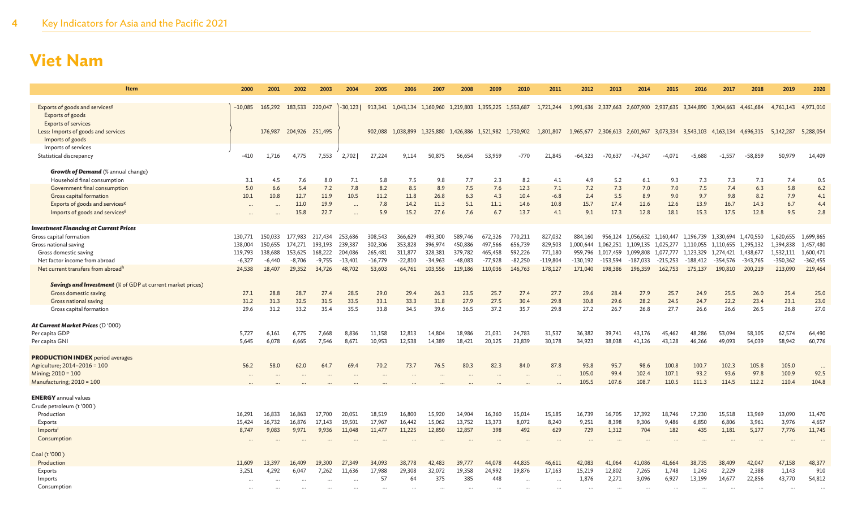| <b>Item</b>                                                       | 2000                 | 2001            | 2002                    | 2003     | 2004      | 2005      | 2006                                                      | 2007      | 2008      | 2009      | 2010                                    | 2011       | 2012       | 2013                                                        | 2014       | 2015                        | 2016       | 2017       | 2018       | 2019       | 2020       |
|-------------------------------------------------------------------|----------------------|-----------------|-------------------------|----------|-----------|-----------|-----------------------------------------------------------|-----------|-----------|-----------|-----------------------------------------|------------|------------|-------------------------------------------------------------|------------|-----------------------------|------------|------------|------------|------------|------------|
| Exports of goods and services <sup>g</sup>                        | $-10,085$            | 165,292 183,533 |                         | 220,047  | $-30,123$ |           | 913,341 1,043,134 1,160,960 1,219,803 1,355,225 1,553,687 |           |           |           |                                         | 1,721,244  |            | 1,991,636 2,337,663 2,607,900 2,937,635 3,344,890 3,904,663 |            |                             |            |            | 4,461,684  | 4,761,143  | 4,971,010  |
| Exports of goods                                                  |                      |                 |                         |          |           |           |                                                           |           |           |           |                                         |            |            |                                                             |            |                             |            |            |            |            |            |
| <b>Exports of services</b>                                        |                      |                 |                         |          |           |           |                                                           |           |           |           |                                         |            |            |                                                             |            |                             |            |            |            |            |            |
| Less: Imports of goods and services<br>Imports of goods           |                      |                 | 176,987 204,926 251,495 |          |           |           | 902,088 1,038,899                                         |           |           |           | 1,325,880 1,426,886 1,521,982 1,730,902 | 1,801,807  |            | 1,965,677 2,306,613 2,601,967 3,073,334 3,543,103 4,163,134 |            |                             |            |            | 4,696,315  | 5,142,287  | 5,288,054  |
| Imports of services                                               |                      |                 |                         |          |           |           |                                                           |           |           |           |                                         |            |            |                                                             |            |                             |            |            |            |            |            |
| Statistical discrepancy                                           | $-410$               | 1,716           | 4,775                   | 7,553    | 2,702     | 27,224    | 9,114                                                     | 50,875    | 56,654    | 53,959    | $-770$                                  | 21,845     | $-64,323$  | $-70,637$                                                   | $-74.347$  | $-4.071$                    | $-5,688$   | $-1,557$   | $-58,859$  | 50,979     | 14,409     |
| <b>Growth of Demand</b> (% annual change)                         |                      |                 |                         |          |           |           |                                                           |           |           |           |                                         |            |            |                                                             |            |                             |            |            |            |            |            |
| Household final consumption                                       | 3.1                  | 4.5             | 7.6                     | 8.0      | 7.1       | 5.8       | 7.5                                                       | 9.8       | 7.7       | 2.3       | 8.2                                     | 4.1        | 4.9        | 5.2                                                         | 6.1        | 9.3                         | 7.3        | 7.3        | 7.3        | 7.4        | 0.5        |
| Government final consumption                                      | 5.0                  | 6.6             | 5.4                     | 7.2      | 7.8       | 8.2       | 8.5                                                       | 8.9       | 7.5       | 7.6       | 12.3                                    | 7.1        | 7.2        | 7.3                                                         | 7.0        | 7.0                         | 7.5        | 7.4        | 6.3        | 5.8        | 6.2        |
| Gross capital formation                                           | 10.1                 | 10.8            | 12.7                    | 11.9     | 10.5      | 11.2      | 11.8                                                      | 26.8      | 6.3       | 4.3       | 10.4                                    | $-6.8$     | 2.4        | 5.5                                                         | 8.9        | 9.0                         | 9.7        | 9.8        | 8.2        | 7.9        | 4.1        |
| Exports of goods and services <sup>g</sup>                        | $\ddot{\phantom{a}}$ |                 | 11.0                    | 19.9     | $\cdots$  | 7.8       | 14.2                                                      | 11.3      | 5.1       | 11.1      | 14.6                                    | 10.8       | 15.7       | 17.4                                                        | 11.6       | 12.6                        | 13.9       | 16.7       | 14.3       | 6.7        | 4.4        |
| Imports of goods and services <sup>g</sup>                        | $\ddots$             |                 | 15.8                    | 22.7     | $\cdots$  | 5.9       | 15.2                                                      | 27.6      | 7.6       | 6.7       | 13.7                                    | 4.1        | 9.1        | 17.3                                                        | 12.8       | 18.1                        | 15.3       | 17.5       | 12.8       | 9.5        | 2.8        |
| <b>Investment Financing at Current Prices</b>                     |                      |                 |                         |          |           |           |                                                           |           |           |           |                                         |            |            |                                                             |            |                             |            |            |            |            |            |
| Gross capital formation                                           | 130.771              | 150,033         | 177,983                 | 217,434  | 253.686   | 308,543   | 366,629                                                   | 493,300   | 589,746   | 672,326   | 770,211                                 | 827,032    | 884,160    |                                                             |            | 956,124 1,056,632 1,160,447 | 1,196,739  | 1.330.694  | 1,470,550  | 1,620,655  | 1,699,865  |
| Gross national saving                                             | 138,004              | 150,655         | 174,271                 | 193,193  | 239,387   | 302,306   | 353,828                                                   | 396,974   | 450,886   | 497,566   | 656,739                                 | 829,503    | 1,000,644  | 1,062,251                                                   | 1,109,135  | 1,025,277                   | 1,110,055  | 1,110,655  | 1,295,132  | 1,394,838  | 1,457,480  |
| Gross domestic saving                                             | 119,793              | 138,688         | 153.625                 | 168,222  | 204,086   | 265,481   | 311,877                                                   | 328,381   | 379,782   | 465,458   | 592,226                                 | 771,180    | 959,796    | 1,017,459                                                   | 1,099,808  | 1,077,777                   | 1,123,329  | 1,274,421  | 1,438,677  | 1,532,111  | 1,600,471  |
| Net factor income from abroad                                     | $-6,327$             | $-6,440$        | $-8,706$                | $-9,755$ | $-13,401$ | $-16,779$ | $-22,810$                                                 | $-34,963$ | $-48,083$ | $-77,928$ | $-82,250$                               | $-119,804$ | $-130,192$ | $-153,594$                                                  | $-187,033$ | $-215,253$                  | $-188,412$ | $-354,576$ | $-343,765$ | $-350,362$ | $-362,455$ |
| Net current transfers from abroadh                                | 24,538               | 18,407          | 29,352                  | 34,726   | 48,702    | 53,603    | 64,761                                                    | 103.556   | 119,186   | 110,036   | 146,763                                 | 178,127    | 171,040    | 198,386                                                     | 196,359    | 162,753                     | 175,137    | 190,810    | 200,219    | 213,090    | 219,464    |
| <b>Savings and Investment</b> (% of GDP at current market prices) |                      |                 |                         |          |           |           |                                                           |           |           |           |                                         |            |            |                                                             |            |                             |            |            |            |            |            |
| Gross domestic saving                                             | 27.1                 | 28.8            | 28.7                    | 27.4     | 28.5      | 29.0      | 29.4                                                      | 26.3      | 23.5      | 25.7      | 27.4                                    | 27.7       | 29.6       | 28.4                                                        | 27.9       | 25.7                        | 24.9       | 25.5       | 26.0       | 25.4       | 25.0       |
| Gross national saving                                             | 31.2                 | 31.3            | 32.5                    | 31.5     | 33.5      | 33.1      | 33.3                                                      | 31.8      | 27.9      | 27.5      | 30.4                                    | 29.8       | 30.8       | 29.6                                                        | 28.2       | 24.5                        | 24.7       | 22.2       | 23.4       | 23.1       | 23.0       |
| Gross capital formation                                           | 29.6                 | 31.2            | 33.2                    | 35.4     | 35.5      | 33.8      | 34.5                                                      | 39.6      | 36.5      | 37.2      | 35.7                                    | 29.8       | 27.2       | 26.7                                                        | 26.8       | 27.7                        | 26.6       | 26.6       | 26.5       | 26.8       | 27.0       |
| At Current Market Prices (D'000)                                  |                      |                 |                         |          |           |           |                                                           |           |           |           |                                         |            |            |                                                             |            |                             |            |            |            |            |            |
| Per capita GDP                                                    | 5,727                | 6,161           | 6,775                   | 7,668    | 8,836     | 11,158    | 12,813                                                    | 14,804    | 18,986    | 21,031    | 24,783                                  | 31,537     | 36,382     | 39,741                                                      | 43,176     | 45,462                      | 48,286     | 53,094     | 58,105     | 62,574     | 64,490     |
| Per capita GNI                                                    | 5,645                | 6,078           | 6,665                   | 7,546    | 8,671     | 10,953    | 12,538                                                    | 14,389    | 18,421    | 20,125    | 23,839                                  | 30,178     | 34,923     | 38,038                                                      | 41,126     | 43,128                      | 46,266     | 49,093     | 54,039     | 58,942     | 60,776     |
|                                                                   |                      |                 |                         |          |           |           |                                                           |           |           |           |                                         |            |            |                                                             |            |                             |            |            |            |            |            |
| <b>PRODUCTION INDEX</b> period averages                           |                      |                 |                         |          |           |           |                                                           |           |           |           |                                         |            |            |                                                             |            |                             |            |            |            |            |            |
| Agriculture; 2014-2016 = 100                                      | 56.2                 | 58.0            | 62.0                    | 64.7     | 69.4      | 70.2      | 73.7                                                      | 76.5      | 80.3      | 82.3      | 84.0                                    | 87.8       | 93.8       | 95.7                                                        | 98.6       | 100.8                       | 100.7      | 102.3      | 105.8      | 105.0      | $\ddotsc$  |
| Mining; 2010 = 100                                                |                      |                 |                         |          |           |           |                                                           |           |           |           |                                         |            | 105.0      | 99.4                                                        | 102.4      | 107.1                       | 93.2       | 93.6       | 97.8       | 100.9      | 92.5       |
| Manufacturing; 2010 = 100                                         |                      |                 |                         |          |           |           |                                                           |           |           |           |                                         |            | 105.5      | 107.6                                                       | 108.7      | 110.5                       | 111.3      | 114.5      | 112.2      | 110.4      | 104.8      |
| <b>ENERGY</b> annual values                                       |                      |                 |                         |          |           |           |                                                           |           |           |           |                                         |            |            |                                                             |            |                             |            |            |            |            |            |
| Crude petroleum (t'000)                                           |                      |                 |                         |          |           |           |                                                           |           |           |           |                                         |            |            |                                                             |            |                             |            |            |            |            |            |
| Production                                                        | 16.291               | 16,833          | 16.863                  | 17,700   | 20.051    | 18,519    | 16,800                                                    | 15,920    | 14.904    | 16,360    | 15,014                                  | 15,185     | 16,739     | 16,705                                                      | 17,392     | 18,746                      | 17.230     | 15,518     | 13,969     | 13,090     | 11,470     |
| Exports                                                           | 15.424               | 16,732          | 16,876                  | 17.143   | 19.501    | 17,967    | 16,442                                                    | 15,062    | 13,752    | 13,373    | 8,072                                   | 8,240      | 9,251      | 8,398                                                       | 9,306      | 9.486                       | 6,850      | 6,806      | 3,961      | 3,976      | 4,657      |
| Imports                                                           | 8,747                | 9,083           | 9,971                   | 9,936    | 11,048    | 11,477    | 11,225                                                    | 12,850    | 12,857    | 398       | 492                                     | 629        | 729        | 1,312                                                       | 704        | 182                         | 435        | 1,181      | 5,177      | 7,776      | 11,745     |
| Consumption                                                       |                      |                 |                         |          |           |           |                                                           |           |           |           |                                         |            |            |                                                             |            |                             |            |            |            |            |            |
| Coal (t'000)                                                      |                      |                 |                         |          |           |           |                                                           |           |           |           |                                         |            |            |                                                             |            |                             |            |            |            |            |            |
| Production                                                        | 11,609               | 13.397          | 16,409                  | 19,300   | 27,349    | 34,093    | 38,778                                                    | 42,483    | 39,777    | 44,078    | 44,835                                  | 46,611     | 42,083     | 41.064                                                      | 41,086     | 41.664                      | 38,735     | 38,409     | 42,047     | 47,158     | 48,377     |
| Exports                                                           | 3,251                | 4,292           | 6,047                   | 7,262    | 11,636    | 17,988    | 29,308                                                    | 32,072    | 19,358    | 24,992    | 19,876                                  | 17,163     | 15,219     | 12,802                                                      | 7,265      | 1,748                       | 1,243      | 2,229      | 2,388      | 1,143      | 910        |
| Imports                                                           |                      |                 |                         |          |           | 57        | 64                                                        | 375       | 385       | 448       |                                         | $\ddotsc$  | 1,876      | 2,271                                                       | 3,096      | 6,927                       | 13,199     | 14,677     | 22,856     | 43,770     | 54,812     |
| Consumption                                                       |                      |                 |                         |          |           |           |                                                           |           |           |           |                                         |            |            |                                                             |            |                             |            |            |            |            |            |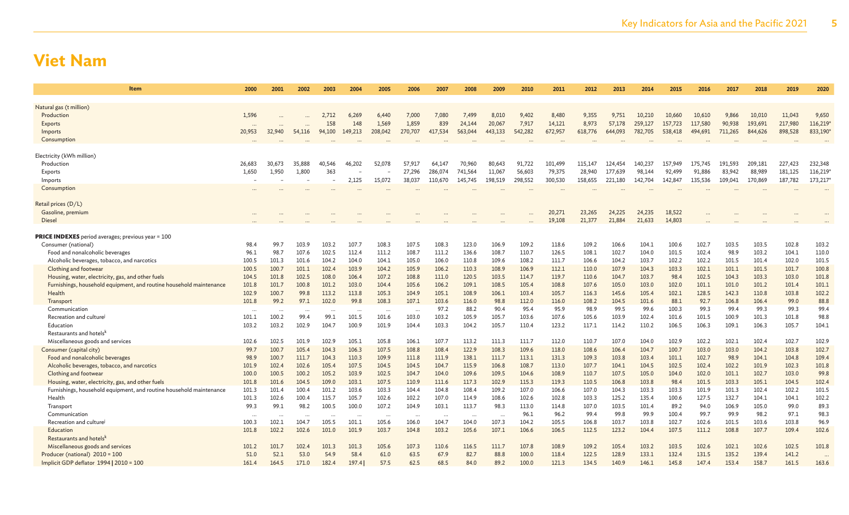| Item                                                                          | 2000           | 2001           | 2002           | 2003           | 2004                     | 2005           | 2006           | 2007           | 2008           | 2009           | 2010           | 2011           | 2012           | 2013           | 2014           | 2015           | 2016           | 2017           | 2018           | 2019           | 2020           |
|-------------------------------------------------------------------------------|----------------|----------------|----------------|----------------|--------------------------|----------------|----------------|----------------|----------------|----------------|----------------|----------------|----------------|----------------|----------------|----------------|----------------|----------------|----------------|----------------|----------------|
| Natural gas (t million)                                                       |                |                |                |                |                          |                |                |                |                |                |                |                |                |                |                |                |                |                |                |                |                |
| Production                                                                    | 1,596          |                |                | 2,712          | 6,269                    | 6,440          | 7,000          | 7,080          | 7,499          | 8,010          | 9,402          | 8,480          | 9,355          | 9,751          | 10,210         | 10,660         | 10,610         | 9,866          | 10,010         | 11,043         | 9,650          |
| <b>Exports</b>                                                                |                |                |                | 158            | 148                      | 1,569          | 1,859          | 839            | 24,144         | 20,067         | 7,917          | 14,121         | 8.973          | 57,178         | 259,127        | 157,723        | 117,580        | 90.938         | 193.691        | 217,980        | 116,219        |
| Imports                                                                       | 20,953         | 32,940         | 54,116         | 94,100         | 149,213                  | 208,042        | 270,707        | 417,534        | 563,044        | 443,133        | 542,282        | 672,957        | 618,776        | 644,093        | 782,705        | 538,418        | 494,691        | 711,265        | 844,626        | 898,528        | 833,190        |
| Consumption                                                                   |                |                |                |                |                          |                |                |                | $\cdots$       |                | $\cdots$       | $\cdots$       |                |                |                | $\cdots$       |                |                |                |                |                |
|                                                                               |                |                |                |                |                          |                |                |                |                |                |                |                |                |                |                |                |                |                |                |                |                |
| Electricity (kWh million)                                                     |                |                |                |                |                          |                |                |                |                |                |                |                |                |                |                |                |                |                |                |                |                |
| Production                                                                    | 26.683         | 30.673         | 35,888         | 40.546         | 46,202                   | 52.078         | 57.917         | 64.147         | 70,960         | 80.643         | 91,722         | 101.499        | 115,147        | 124,454        | 140,237        | 157,949        | 175,745        | 191.593        | 209.181        | 227,423        | 232,348        |
| Exports                                                                       | 1,650          | 1,950          | 1,800          | 363            | $\overline{\phantom{m}}$ |                | 27,296         | 286,074        | 741,564        | 11,067         | 56,603         | 79,375         | 28,940         | 177,639        | 98,144         | 92,499         | 91,886         | 83,942         | 88,989         | 181,125        | 116,219        |
| Imports                                                                       |                |                |                |                | 2,125                    | 15,072         | 38,037         | 110,670        | 145,745        | 198,519        | 298,552        | 300,530        | 158,655        | 221,180        | 142,704        | 142,847        | 135,536        | 109,041        | 170,869        | 187,782        | 173,217        |
| Consumption                                                                   |                |                |                |                |                          |                |                |                |                |                |                |                |                |                |                |                |                |                |                |                |                |
| Retail prices (D/L)                                                           |                |                |                |                |                          |                |                |                |                |                |                |                |                |                |                |                |                |                |                |                |                |
| Gasoline, premium                                                             |                |                |                |                |                          |                |                |                |                |                |                | 20,271         | 23,265         | 24,225         | 24,235         | 18,522         |                |                |                |                |                |
| <b>Diesel</b>                                                                 |                |                |                |                |                          |                |                |                |                |                |                | 19,108         | 21,377         | 21,884         | 21,633         | 14,803         |                |                |                |                |                |
|                                                                               |                |                |                |                |                          |                |                |                |                |                |                |                |                |                |                |                |                |                |                |                |                |
| <b>PRICE INDEXES</b> period averages; previous year = 100                     |                |                |                |                |                          |                |                |                |                |                |                |                |                |                |                |                |                |                |                |                |                |
| Consumer (national)                                                           | 98.4           | 99.7           | 103.9          | 103.2          | 107.7                    | 108.3          | 107.5          | 108.3          | 123.0          | 106.9          | 109.2          | 118.6          | 109.2          | 106.6          | 104.1          | 100.6          | 102.7          | 103.5          | 103.5          | 102.8          | 103.2          |
| Food and nonalcoholic beverages                                               | 96.1           | 98.7           | 107.6          | 102.5          | 112.4                    | 111.2          | 108.7          | 111.2          | 136.6          | 108.7          | 110.7          | 126.5          | 108.1          | 102.7          | 104.0          | 101.5          | 102.4          | 98.9           | 103.2          | 104.1          | 110.0          |
| Alcoholic beverages, tobacco, and narcotics                                   | 100.5          | 101.3          | 101.6          | 104.2          | 104.0                    | 104.1          | 105.0          | 106.0          | 110.8          | 109.6          | 108.2          | 111.7          | 106.6          | 104.2          | 103.7          | 102.2          | 102.2          | 101.5          | 101.4          | 102.0          | 101.5          |
| Clothing and footwear                                                         | 100.5          | 100.7          | 101.1          | 102.4          | 103.9                    | 104.2          | 105.9          | 106.2          | 110.3          | 108.9          | 106.9          | 112.1          | 110.0          | 107.9          | 104.3          | 103.3          | 102.1          | 101.1          | 101.5          | 101.7          | 100.8          |
| Housing, water, electricity, gas, and other fuels                             | 104.5          | 101.8          | 102.5<br>100.8 | 108.0          | 106.4                    | 107.2<br>104.4 | 108.8<br>105.6 | 111.0<br>106.2 | 120.5<br>109.1 | 103.5<br>108.5 | 114.7<br>105.4 | 119.7<br>108.8 | 110.6<br>107.6 | 104.7<br>105.0 | 103.7<br>103.0 | 98.4           | 102.5<br>101.1 | 104.3<br>101.0 | 103.3          | 103.0<br>101.4 | 101.8          |
| Furnishings, household equipment, and routine household maintenance<br>Health | 101.8<br>102.9 | 101.7<br>100.7 | 99.8           | 101.2<br>113.2 | 103.0<br>113.8           | 105.3          | 104.9          | 105.1          | 108.9          | 106.1          | 103.4          | 105.7          | 116.3          | 145.6          | 105.4          | 102.0<br>102.1 | 128.5          | 142.3          | 101.2<br>110.8 | 103.8          | 101.1<br>102.2 |
| Transport                                                                     | 101.8          | 99.2           | 97.1           | 102.0          | 99.8                     | 108.3          | 107.1          | 103.6          | 116.0          | 98.8           | 112.0          | 116.0          | 108.2          | 104.5          | 101.6          | 88.1           | 92.7           | 106.8          | 106.4          | 99.0           | 88.8           |
| Communication                                                                 | $\cdots$       |                | $\cdots$       |                | $\ddots$                 |                |                | 97.2           | 88.2           | 90.4           | 95.4           | 95.9           | 98.9           | 99.5           | 99.6           | 100.3          | 99.3           | 99.4           | 99.3           | 99.3           | 99.4           |
| Recreation and culture                                                        | 101.1          | 100.2          | 99.4           | 99.1           | 101.5                    | 101.6          | 103.0          | 103.2          | 105.9          | 105.7          | 103.6          | 107.6          | 105.6          | 103.9          | 102.4          | 101.6          | 101.5          | 100.9          | 101.3          | 101.8          | 98.8           |
| Education                                                                     | 103.2          | 103.2          | 102.9          | 104.7          | 100.9                    | 101.9          | 104.4          | 103.3          | 104.2          | 105.7          | 110.4          | 123.2          | 117.1          | 114.2          | 110.2          | 106.5          | 106.3          | 109.1          | 106.3          | 105.7          | 104.1          |
| Restaurants and hotels <sup>k</sup>                                           |                |                |                |                |                          |                |                |                |                |                |                |                |                |                |                |                |                |                |                |                |                |
| Miscellaneous goods and services                                              | 102.6          | 102.5          | 101.9          | 102.9          | 105.1                    | 105.8          | 106.1          | 107.7          | 113.2          | 111.3          | 111.7          | 112.0          | 110.7          | 107.0          | 104.0          | 102.9          | 102.2          | 102.1          | 102.4          | 102.7          | 102.9          |
| Consumer (capital city)                                                       | 99.7           | 100.7          | 105.4          | 104.3          | 106.3                    | 107.5          | 108.8          | 108.4          | 122.9          | 108.3          | 109.6          | 118.0          | 108.6          | 106.4          | 104.7          | 100.7          | 103.0          | 103.0          | 104.2          | 103.8          | 102.7          |
| Food and nonalcoholic beverages                                               | 98.9           | 100.7          | 111.7          | 104.3          | 110.3                    | 109.9          | 111.8          | 111.9          | 138.1          | 111.7          | 113.1          | 131.3          | 109.3          | 103.8          | 103.4          | 101.1          | 102.7          | 98.9           | 104.1          | 104.8          | 109.4          |
| Alcoholic beverages, tobacco, and narcotics                                   | 101.9          | 102.4          | 102.6          | 105.4          | 107.5                    | 104.5          | 104.5          | 104.7          | 115.9          | 106.8          | 108.7          | 113.0          | 107.7          | 104.1          | 104.5          | 102.5          | 102.4          | 102.2          | 101.9          | 102.3          | 101.8          |
| Clothing and footwear                                                         | 100.0          | 100.5          | 100.2          | 105.2          | 103.9                    | 102.5          | 104.7          | 104.0          | 109.6          | 109.5          | 104.6          | 108.9          | 110.7          | 107.5          | 105.0          | 104.0          | 102.0          | 101.1          | 102.7          | 103.0          | 99.8           |
| Housing, water, electricity, gas, and other fuels                             | 101.8          | 101.6          | 104.5          | 109.0          | 103.1                    | 107.5          | 110.9          | 111.6          | 117.3          | 102.9          | 115.3          | 119.3          | 110.5          | 106.8          | 103.8          | 98.4           | 101.5          | 103.3          | 105.1          | 104.5          | 102.4          |
| Furnishings, household equipment, and routine household maintenance           | 101.3          | 101.4          | 100.4          | 101.2          | 103.6                    | 103.3          | 104.4          | 104.8          | 108.4          | 109.2          | 107.0          | 106.6          | 107.0          | 104.3          | 103.3          | 103.3          | 101.9          | 101.3          | 102.4          | 102.2          | 101.5          |
| Health                                                                        | 101.3          | 102.6          | 100.4          | 115.7          | 105.7                    | 102.6          | 102.2          | 107.0          | 114.9          | 108.6          | 102.6          | 102.8          | 103.3          | 125.2          | 135.4          | 100.6          | 127.5          | 132.7          | 104.1          | 104.1          | 102.2          |
| Transport                                                                     | 99.3           | 99.1           | 98.2           | 100.5          | 100.0                    | 107.2          | 104.9          | 103.1          | 113.7          | 98.3           | 113.0          | 114.8          | 107.0          | 103.5          | 101.4          | 89.2           | 94.0           | 106.9          | 105.0          | 99.0           | 89.3           |
| Communication                                                                 | $\cdots$       | $\cdots$       | $\cdots$       | $\ddotsc$      | $\ddots$                 |                |                | $\cdots$       | $\ddotsc$      | $\cdots$       | 96.1           | 96.2           | 99.4           | 99.8           | 99.9           | 100.4          | 99.7           | 99.9           | 98.2           | 97.1           | 98.3           |
| Recreation and culture                                                        | 100.3          | 102.1          | 104.7          | 105.5          | 101.1                    | 105.6          | 106.0          | 104.7          | 104.0          | 107.3          | 104.2          | 105.5          | 106.8          | 103.7          | 103.8          | 102.7          | 102.6          | 101.5          | 103.6          | 103.8          | 96.9           |
| Education                                                                     | 101.8          | 102.2          | 102.6          | 101.0          | 101.9                    | 103.7          | 104.8          | 103.2          | 105.6          | 107.1          | 106.6          | 106.5          | 112.5          | 123.2          | 104.4          | 107.5          | 111.2          | 108.8          | 107.7          | 109.4          | 102.6          |
| Restaurants and hotelsk                                                       |                |                |                |                |                          |                | 107.3          |                |                |                | 107.8          | 108.9          |                |                | 103.2          |                |                |                |                |                |                |
| Miscellaneous goods and services<br>Producer (national) 2010 = 100            | 101.2<br>51.0  | 101.7<br>52.1  | 102.4<br>53.0  | 101.3<br>54.9  | 101.3<br>58.4            | 105.6<br>61.0  | 63.5           | 110.6<br>67.9  | 116.5<br>82.7  | 111.7<br>88.8  | 100.0          | 118.4          | 109.2<br>122.5 | 105.4<br>128.9 | 133.1          | 103.5<br>132.4 | 102.6<br>131.5 | 102.1<br>135.2 | 102.6<br>139.4 | 102.5<br>141.2 | 101.8          |
| Implicit GDP deflator 1994   2010 = 100                                       | 161.4          | 164.5          | 171.0          | 182.4          | 197.4                    | 57.5           | 62.5           | 68.5           | 84.0           | 89.2           | 100.0          | 121.3          | 134.5          | 140.9          | 146.1          | 145.8          | 147.4          | 153.4          | 158.7          | 161.5          | 163.6          |
|                                                                               |                |                |                |                |                          |                |                |                |                |                |                |                |                |                |                |                |                |                |                |                |                |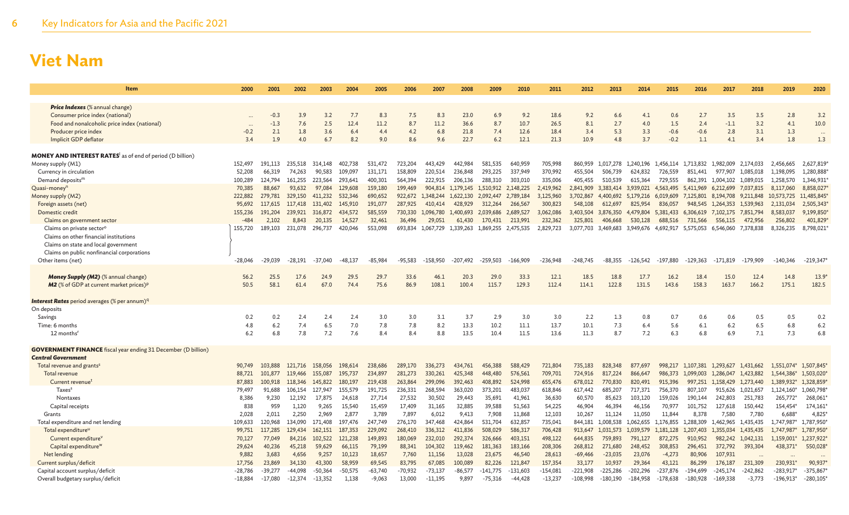| Item                                                                                       | 2000              | 2001               | 2002               | 2003               | 2004               | 2005               | 2006               | 2007                 | 2008                 | 2009                 | 2010                 | 2011                 | 2012                 | 2013                 | 2014                 | 2015                 | 2016                 | 2017                   | 2018                   | 2019                    | 2020                    |
|--------------------------------------------------------------------------------------------|-------------------|--------------------|--------------------|--------------------|--------------------|--------------------|--------------------|----------------------|----------------------|----------------------|----------------------|----------------------|----------------------|----------------------|----------------------|----------------------|----------------------|------------------------|------------------------|-------------------------|-------------------------|
|                                                                                            |                   |                    |                    |                    |                    |                    |                    |                      |                      |                      |                      |                      |                      |                      |                      |                      |                      |                        |                        |                         |                         |
| <b>Price Indexes</b> (% annual change)                                                     |                   |                    | 3.9                | 3.2                | 7.7                | 8.3                |                    | 8.3                  | 23.0                 | 6.9                  | 9.2                  | 18.6                 | 9.2                  |                      | 4.1                  | 0.6                  |                      | 3.5                    | 3.5                    | 2.8                     | 3.2                     |
| Consumer price index (national)<br>Food and nonalcoholic price index (national)            |                   | $-0.3$<br>$-1.3$   | 7.6                | 2.5                | 12.4               | 11.2               | 7.5<br>8.7         | 11.2                 | 36.6                 | 8.7                  | 10.7                 | 26.5                 | 8.1                  | 6.6<br>2.7           | 4.0                  | 1.5                  | 2.7<br>2.4           | $-1.1$                 | 3.2                    | 4.1                     | 10.0                    |
| Producer price index                                                                       | $-0.2$            | 2.1                | 1.8                | 3.6                | 6.4                | 4.4                | 4.2                | 6.8                  | 21.8                 | 7.4                  | 12.6                 | 18.4                 | 3.4                  | 5.3                  | 3.3                  | $-0.6$               | $-0.6$               | 2.8                    | 3.1                    | 1.3                     |                         |
| Implicit GDP deflator                                                                      | 3.4               | 1.9                | 4.0                | 6.7                | 8.2                | 9.0                | 8.6                | 9.6                  | 22.7                 | 6.2                  | 12.1                 | 21.3                 | 10.9                 | 4.8                  | 3.7                  | $-0.2$               | 1.1                  | 4.1                    | 3.4                    | 1.8                     | 1.3                     |
|                                                                                            |                   |                    |                    |                    |                    |                    |                    |                      |                      |                      |                      |                      |                      |                      |                      |                      |                      |                        |                        |                         |                         |
| <b>MONEY AND INTEREST RATES</b> as of end of period (D billion)                            |                   |                    |                    |                    |                    |                    |                    |                      |                      |                      |                      |                      |                      |                      |                      |                      |                      |                        |                        |                         |                         |
| Money supply (M1)                                                                          | 152,497           | 191.113            | 235.518            | 314.148            | 402.738            | 531,472            | 723,204            | 443,429              | 442.984              | 581.535              | 640,959              | 705,998              | 860,959              | 1.017.278            | 1.240.196            | 1.456.114            | 1,713,832            | 1,982,009              | 2.174.033              | 2.456.665               | 2,627,819               |
| Currency in circulation                                                                    | 52,208            | 66,319             | 74,263             | 90,583             | 109,097            | 131,171            | 158,809            | 220,514              | 236,848              | 293,225              | 337,949              | 370,992              | 455,504              | 506,739              | 624,832              | 726,559              | 851,441              | 977,907                | 1,085,018              | 1,198,095               | 1,280,888               |
| Demand deposits <sup>m</sup>                                                               | 100,289           | 124,794            | 161.255            | 223.564            | 293,641            | 400,301            | 564,394            | 222,915              | 206,136              | 288,310              | 303,010              | 335,006              | 405,455              | 510,539              | 615,364              | 729,555              | 862,391              | 1,004,102              | 1,089,015              | 1,258,570               | 1,346,931               |
| Quasi-money <sup>n</sup>                                                                   | 70,385            | 88,667             | 93.632             | 97,084             | 129,608<br>532,346 | 159,180            | 199,469            | 904,814              | 1.179.145            | 1.510.912            | 2.148.225            | 2.419.962            | 2.841.909            | 3.383.414 3.939.021  |                      | 4.563,495            | 5.411.969            | 6,212,699              | 7.037.815              | 8,117,060               | 8,858,027<br>11,485,845 |
| Money supply (M2)<br>Foreign assets (net)                                                  | 222,882<br>95,692 | 279,781<br>117,615 | 329,150<br>117.418 | 411,232<br>131,402 | 145,910            | 690,652<br>191,077 | 922,672<br>287,925 | 1,348,244<br>410,414 | 1,622,130<br>428,929 | 2,092,447<br>312,264 | 2,789,184<br>266,567 | 3,125,960<br>300,823 | 3,702,867<br>548,108 | 4,400,692<br>612,697 | 5,179,216<br>825,954 | 6,019,609<br>836,057 | 7,125,801<br>948,545 | 8,194,708<br>1.264.353 | 9,211,848<br>1,539,963 | 10,573,725<br>2,131,034 | 2,505,343               |
| Domestic credit                                                                            | 155,236           | 191,204            | 239,921            | 316,872            | 434,572            | 585,559            | 730,330            | 1,096,780            | 1,400,693            | 2,039,686            | 2,689,527            | 3,062,086            | 3,403,504            | 3,876,350            | 4,479,804            | 5,381,433            | 6,306,619            | 7,102,175              | 7,851,794              | 8,583,037               | 9,199,850               |
| Claims on government sector                                                                | $-484$            | 2,102              | 8,843              | 20,135             | 14,527             | 32,461             | 36,496             | 29,051               | 61,430               | 170,431              | 213,991              | 232,362              | 325,801              | 406,668              | 530,128              | 688,516              | 731,566              | 556,115                | 472,956                | 256,802                 | 401,829                 |
| Claims on private sector <sup>o</sup>                                                      | 155.720           | 189.103            | 231.078            | 296,737            | 420,046            | 553,098            | 693.834            | 1.067.729            | 1.339.263            | 1.869.255            | 2.475.535            | 2.829.723            | 3.077.703            | 3.469.683 3.949.676  |                      | 4.692.917            | 5.575.053 6.546.060  |                        | 7.378.838              | 8,326,235               | 8,798,021               |
| Claims on other financial institutions                                                     |                   |                    |                    |                    |                    |                    |                    |                      |                      |                      |                      |                      |                      |                      |                      |                      |                      |                        |                        |                         |                         |
| Claims on state and local government                                                       |                   |                    |                    |                    |                    |                    |                    |                      |                      |                      |                      |                      |                      |                      |                      |                      |                      |                        |                        |                         |                         |
| Claims on public nonfinancial corporations                                                 |                   |                    |                    |                    |                    |                    |                    |                      |                      |                      |                      |                      |                      |                      |                      |                      |                      |                        |                        |                         |                         |
| Other items (net)                                                                          | $-28,046$         | $-29,039$          | -28.191            | $-37.040$          | -48.137            | $-85.984$          | $-95,583$          | $-158.950$           | -207.492             | $-259.503$           | $-166.909$           | -236.948             | $-248.745$           | $-88.355$            | $-126.542$           | $-197.880$           | $-129.363$           | $-171.819$             | $-179.909$             | $-140.346$              | $-219,347$              |
|                                                                                            |                   |                    |                    |                    |                    |                    |                    |                      |                      |                      |                      |                      |                      |                      |                      |                      |                      |                        |                        |                         |                         |
| Money Supply (M2) (% annual change)<br>M2 (% of GDP at current market prices) <sup>p</sup> | 56.2<br>50.5      | 25.5<br>58.1       | 17.6<br>61.4       | 24.9<br>67.0       | 29.5<br>74.4       | 29.7<br>75.6       | 33.6<br>86.9       | 46.1<br>108.1        | 20.3<br>100.4        | 29.0<br>115.7        | 33.3<br>129.3        | 12.1<br>112.4        | 18.5<br>114.1        | 18.8<br>122.8        | 17.7<br>131.5        | 16.2<br>143.6        | 18.4<br>158.3        | 15.0<br>163.7          | 12.4<br>166.2          | 14.8<br>175.1           | $13.9^{\circ}$<br>182.5 |
|                                                                                            |                   |                    |                    |                    |                    |                    |                    |                      |                      |                      |                      |                      |                      |                      |                      |                      |                      |                        |                        |                         |                         |
| <b>Interest Rates</b> period averages (% per annum) <sup>q</sup>                           |                   |                    |                    |                    |                    |                    |                    |                      |                      |                      |                      |                      |                      |                      |                      |                      |                      |                        |                        |                         |                         |
| On deposits                                                                                |                   |                    |                    |                    |                    |                    |                    |                      |                      |                      |                      |                      |                      |                      |                      |                      |                      |                        |                        |                         |                         |
| Savings                                                                                    | 0.2               | 0.2                | 2.4                | 2.4                | 2.4                | 3.0                | 3.0                | 3.1                  | 3.7                  | 2.9                  | 3.0                  | 3.0                  | 2.2                  | 1.3                  | 0.8                  | 0.7                  | 0.6                  | 0.6                    | 0.5                    | 0.5                     | 0.2                     |
| Time: 6 months                                                                             | 4.8               | 6.2                | 7.4                | 6.5                | 7.0                | 7.8                | 7.8                | 8.2                  | 13.3                 | 10.2                 | 11.1                 | 13.7                 | 10.1                 | 7.3                  | 6.4                  | 5.6                  | 6.1                  | 6.2                    | 6.5                    | 6.8                     | 6.2                     |
| 12 months <sup>t</sup>                                                                     | 6.2               | 6.8                | 7.8                | 7.2                | 7.6                | 8.4                | 8.4                | 8.8                  | 13.5                 | 10.4                 | 11.5                 | 13.6                 | 11.3                 | 8.7                  | 7.2                  | 6.3                  | 6.8                  | 6.9                    | 7.1                    | 7.3                     | 6.8                     |
|                                                                                            |                   |                    |                    |                    |                    |                    |                    |                      |                      |                      |                      |                      |                      |                      |                      |                      |                      |                        |                        |                         |                         |
| <b>GOVERNMENT FINANCE</b> fiscal year ending 31 December (D billion)                       |                   |                    |                    |                    |                    |                    |                    |                      |                      |                      |                      |                      |                      |                      |                      |                      |                      |                        |                        |                         |                         |
| <b>Central Government</b><br>Total revenue and grants <sup>s</sup>                         | 90,749            | 103,888            | 121,716            | 158,056            | 198,614            | 238,686            | 289,170            | 336,273              | 434,761              | 456,388              | 588,429              | 721,804              | 735,183              | 828,348              | 877,697              | 998,217              | 1,107,381            | 1.293.627              | 1,431,662              | 1,551,074*              | 1,507,845               |
| Total revenue                                                                              | 88.721            | 101,877            | 119,466            | 155,087            | 195,737            | 234,897            | 281,273            | 330,261              | 425,348              | 448,480              | 576,561              | 709,701              | 724,916              | 817,224              | 866,647              | 986,373              | 1,099,003            | 1.286,047              | 1.423,882              | 1,544,386*              | 1,503,020               |
| Current revenue <sup>t</sup>                                                               | 87,883            | 100,918            | 118,346            | 145,822            | 180,197            | 219,438            | 263,864            | 299,096              | 392,463              | 408,892              | 524,998              | 655,476              | 678,012              | 770,830              | 820,491              | 915,396              |                      | 997,251 1,158,429      | 1,273,440              | 1,389,932*              | 1,328,859               |
| Taxes <sup>s</sup>                                                                         | 79.497            | 91.688             | 106,154            | 127.947            | 155,579            | 191,725            | 236,331            | 268,594              | 363,020              | 373,201              | 483,037              | 618,846              | 617,442              | 685,207              | 717.371              | 756,370              | 807,107              | 915,626                | 1.021.657              | 1,124,160*              | 1,060,798               |
| Nontaxes                                                                                   | 8,386             | 9,230              | 12,192             | 17,875             | 24,618             | 27,714             | 27,532             | 30,502               | 29,443               | 35,691               | 41,961               | 36,630               | 60,570               | 85,623               | 103,120              | 159,026              | 190,144              | 242,803                | 251,783                | 265,772*                | 268,061                 |
| Capital receipts                                                                           | 838               | 959                | 1,120              | 9.265              | 15.540             | 15,459             | 17,409             | 31,165               | 32,885               | 39,588               | 51,563               | 54,225               | 46,904               | 46,394               | 46,156               | 70,977               | 101,752              | 127,618                | 150,442                | 154,454*                | 174,161                 |
| Grants                                                                                     | 2.028             | 2.011              | 2.250              | 2.969              | 2.877              | 3,789              | 7,897              | 6,012                | 9,413                | 7,908                | 11,868               | 12,103               | 10,267               | 11,124               | 11.050               | 11,844               | 8.378                | 7.580                  | 7.780                  | 6,688                   | 4,825                   |
| Total expenditure and net lending                                                          | 109,633           | 120,968            | 134,090            | 171.408            | 197.476            | 247,749            | 276,170            | 347,468              | 424,864              | 531,704              | 632,857              | 735,041              | 844,181              | 1,008,538            | 1,062,655            | 1,176,855            | 1,288,309            | 1,462,965              | 1.435.435              | 1,747,987'              | 1,787,950               |
| Total expenditure <sup>u</sup>                                                             | 99,751            | 117,285            | 129,434            | 162,151            | 187,353            | 229,092            | 268,410            | 336,312              | 411,836              | 508,029              | 586,317              | 706,428              | 913,647              | 1,031,573 1,039,579  |                      | 1,181,128            | 1,207,403            | 1.355,034              | 1.435,435              | 1,747,987               | 1.787,950               |
| Current expenditure <sup>v</sup>                                                           | 70,127            | 77,049             | 84,216             | 102,522            | 121,238            | 149,893            | 180,069            | 232,010              | 292,374              | 326,666              | 403,151              | 498,122              | 644,835              | 759,893              | 791,127              | 872,275              | 910,952              | 982,242                | 1,042,131              | 1,159,001*              | 1,237,922               |
| Capital expenditure <sup>w</sup><br>Net lending                                            | 29,624<br>9.882   | 40,236<br>3,683    | 45,218<br>4,656    | 59,629<br>9,257    | 66,115<br>10,123   | 79,199<br>18,657   | 88,341<br>7,760    | 104,302<br>11,156    | 119,462<br>13,028    | 181,363<br>23,675    | 183,166<br>46,540    | 208,306<br>28,613    | 268,812<br>$-69,466$ | 271,680<br>$-23,035$ | 248,452<br>23,076    | 308,853<br>$-4,273$  | 296,451<br>80,906    | 372,792<br>107,931     | 393,304                | 438,371*                | 550,028                 |
| Current surplus/deficit                                                                    | 17,756            | 23,869             | 34,130             | 43,300             | 58,959             | 69,545             | 83,795             | 67,085               | 100,089              | 82,226               | 121,847              | 157,354              | 33,177               | 10,937               | 29,364               | 43,121               | 86,299               | 176,187                | 231,309                | 230,931'                | 90,937                  |
| Capital account surplus/deficit                                                            | $-28,786$         | $-39,277$          | $-44.098$          | $-50,364$          | $-50,575$          | $-63,740$          | $-70,932$          | $-73,137$            | $-86,577$            | $-141,775$           | $-131,603$           | $-154,081$           | $-221,908$           | $-225,286$           | $-202,296$           | $-237,876$           | -194,699             | $-245,174$             | $-242,862$             | $-283,917*$             | $-375,867$              |
| Overall budgetary surplus/deficit                                                          | $-18,884$         | $-17,080$          | $-12,374$          | $-13,352$          | 1,138              | $-9,063$           | 13,000             | $-11,195$            | 9,897                | $-75,316$            | -44,428              | $-13,237$            | -108,998             | $-180,190$           | $-184,958$           | $-178,638$           | $-180,928$           | $-169,338$             | $-3,773$               | $-196,913*$             | $-280,105$              |
|                                                                                            |                   |                    |                    |                    |                    |                    |                    |                      |                      |                      |                      |                      |                      |                      |                      |                      |                      |                        |                        |                         |                         |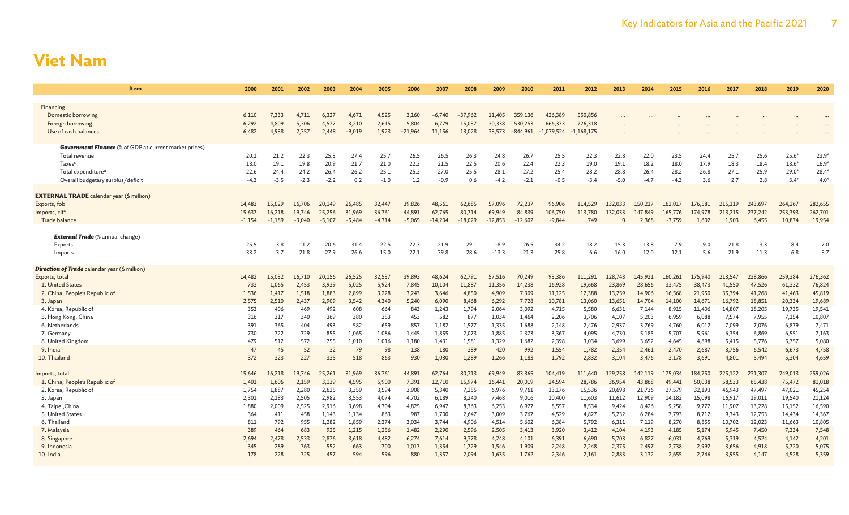| <b>Item</b>                                                                                                                                                                     | 2000                                              | 2001                                              | 2002                                              | 2003                                              | 2004                                               | 2005                                               | 2006                                                | 2007                                                    | 2008                                                    | 2009                                                      | 2010                                                      | 2011                                                         | 2012                                                         | 2013                                                         | 2014                                                         | 2015                                                         | 2016                                                          | 2017                                                          | 2018                                                          | 2019                                                          | 2020                                                           |
|---------------------------------------------------------------------------------------------------------------------------------------------------------------------------------|---------------------------------------------------|---------------------------------------------------|---------------------------------------------------|---------------------------------------------------|----------------------------------------------------|----------------------------------------------------|-----------------------------------------------------|---------------------------------------------------------|---------------------------------------------------------|-----------------------------------------------------------|-----------------------------------------------------------|--------------------------------------------------------------|--------------------------------------------------------------|--------------------------------------------------------------|--------------------------------------------------------------|--------------------------------------------------------------|---------------------------------------------------------------|---------------------------------------------------------------|---------------------------------------------------------------|---------------------------------------------------------------|----------------------------------------------------------------|
| Financing<br>Domestic borrowing<br>Foreign borrowing<br>Use of cash balances                                                                                                    | 6,110<br>6.292<br>6,482                           | 7,333<br>4.809<br>4,938                           | 4,711<br>5.306<br>2,357                           | 6,327<br>4,577<br>2,448                           | 4,671<br>3,210<br>$-9,019$                         | 4,525<br>2,615<br>1,923                            | 3,160<br>5,804<br>$-21,964$                         | $-6,740$<br>6,779<br>11,156                             | $-37,962$<br>15,037<br>13,028                           | 11,405<br>30,338<br>33,573                                | 359,136<br>530,253<br>$-844,961$                          | 426,389<br>666,373<br>$-1,079,524$                           | 550,856<br>726,318<br>$-1,168,175$                           |                                                              |                                                              |                                                              |                                                               |                                                               |                                                               |                                                               |                                                                |
| <b>Government Finance</b> (% of GDP at current market prices)<br>Total revenue<br>Taxes <sup>s</sup><br>Total expenditure <sup>u</sup><br>Overall budgetary surplus/deficit     | 20.1<br>18.0<br>22.6<br>$-4.3$                    | 21.2<br>19.1<br>24.4<br>$-3.5$                    | 22.3<br>19.8<br>24.2<br>$-2.3$                    | 25.3<br>20.9<br>26.4<br>$-2.2$                    | 27.4<br>21.7<br>26.2<br>0.2                        | 25.7<br>21.0<br>25.1<br>$-1.0$                     | 26.5<br>22.3<br>25.3<br>1.2                         | 26.5<br>21.5<br>27.0<br>$-0.9$                          | 26.3<br>22.5<br>25.5<br>0.6                             | 24.8<br>20.6<br>28.1<br>$-4.2$                            | 26.7<br>22.4<br>27.2<br>$-2.1$                            | 25.5<br>22.3<br>25.4<br>$-0.5$                               | 22.3<br>19.0<br>28.2<br>$-3.4$                               | 22.8<br>19.1<br>28.8<br>$-5.0$                               | 22.0<br>18.2<br>26.4<br>$-4.7$                               | 23.5<br>18.0<br>28.2<br>$-4.3$                               | 24.4<br>17.9<br>26.8<br>3.6                                   | 25.7<br>18.3<br>27.1<br>2.7                                   | 25.6<br>18.4<br>25.9<br>2.8                                   | $25.6*$<br>$18.6*$<br>$29.0^{\circ}$<br>$3.4*$                | $23.9*$<br>$16.9*$<br>$28.4*$<br>$4.0*$                        |
| <b>EXTERNAL TRADE</b> calendar year (\$ million)<br>Exports, fob<br>Imports, cif <sup>o</sup><br>Trade balance<br><b>External Trade</b> (% annual change)<br>Exports<br>Imports | 14,483<br>15,637<br>$-1,154$<br>25.5<br>33.2      | 15,029<br>16,218<br>$-1,189$<br>3.8<br>3.7        | 16,706<br>19,746<br>$-3,040$<br>11.2<br>21.8      | 20,149<br>25,256<br>$-5,107$<br>20.6<br>27.9      | 26,485<br>31,969<br>$-5,484$<br>31.4<br>26.6       | 32,447<br>36,761<br>$-4,314$<br>22.5<br>15.0       | 39,826<br>44,891<br>$-5,065$<br>22.7<br>22.1        | 48,561<br>62,765<br>$-14,204$<br>21.9<br>39.8           | 62,685<br>80,714<br>$-18,029$<br>29.1<br>28.6           | 57,096<br>69,949<br>$-12,853$<br>$-8.9$<br>$-13.3$        | 72,237<br>84,839<br>$-12,602$<br>26.5<br>21.3             | 96,906<br>106,750<br>$-9,844$<br>34.2<br>25.8                | 114,529<br>113,780<br>749<br>18.2<br>6.6                     | 132,033<br>132,033<br>$\Omega$<br>15.3<br>16.0               | 150,217<br>147,849<br>2,368<br>13.8<br>12.0                  | 162,017<br>165,776<br>$-3,759$<br>7.9<br>12.1                | 176,581<br>174,978<br>1,602<br>9.0<br>5.6                     | 215,119<br>213,215<br>1,903<br>21.8<br>21.9                   | 243,697<br>237,242<br>6,455<br>13.3<br>11.3                   | 264,267<br>253,393<br>10,874<br>8.4<br>6.8                    | 282,655<br>262,701<br>19,954<br>7.0<br>3.7                     |
| <b>Direction of Trade</b> calendar year (\$ million)<br>Exports, total<br>1. United States<br>2. China, People's Republic of                                                    | 14,482<br>733<br>1,536                            | 15.032<br>1,065<br>1,417                          | 16,710<br>2,453<br>1,518                          | 20,156<br>3,939<br>1,883                          | 26,525<br>5,025<br>2,899                           | 32,537<br>5,924<br>3,228                           | 39,893<br>7,845<br>3,243                            | 48,624<br>10,104<br>3,646                               | 62,791<br>11,887<br>4,850                               | 57,516<br>11,356<br>4,909                                 | 70,249<br>14,238<br>7,309                                 | 93,386<br>16,928<br>11,125                                   | 111,291<br>19,668<br>12,388                                  | 128,743<br>23,869<br>13,259                                  | 145,921<br>28,656<br>14,906                                  | 160,261<br>33,475<br>16,568                                  | 175,940<br>38,473<br>21,950                                   | 213,547<br>41,550<br>35,394                                   | 238,866<br>47,526<br>41,268                                   | 259,384<br>61,332<br>41,463                                   | 276,362<br>76,824<br>45,819                                    |
| 3. Japan<br>4. Korea, Republic of<br>5. Hong Kong, China<br>6. Netherlands<br>7. Germany<br>8. United Kingdom<br>9. India                                                       | 2,575<br>353<br>316<br>391<br>730<br>479<br>47    | 2,510<br>406<br>317<br>365<br>722<br>512<br>45    | 2,437<br>469<br>340<br>404<br>729<br>572<br>52    | 2,909<br>492<br>369<br>493<br>855<br>755<br>32    | 3,542<br>608<br>380<br>582<br>1,065<br>1,010<br>79 | 4,340<br>664<br>353<br>659<br>1,086<br>1,016<br>98 | 5,240<br>843<br>453<br>857<br>1,445<br>1,180<br>138 | 6,090<br>1,243<br>582<br>1,182<br>1,855<br>1,431<br>180 | 8,468<br>1,794<br>877<br>1,577<br>2,073<br>1,581<br>389 | 6,292<br>2,064<br>1,034<br>1,335<br>1,885<br>1,329<br>420 | 7,728<br>3,092<br>1,464<br>1,688<br>2,373<br>1,682<br>992 | 10,781<br>4,715<br>2,206<br>2,148<br>3,367<br>2,398<br>1,554 | 13,060<br>5,580<br>3,706<br>2,476<br>4,095<br>3,034<br>1,782 | 13,651<br>6,631<br>4,107<br>2,937<br>4,730<br>3,699<br>2,354 | 14,704<br>7,144<br>5,203<br>3,769<br>5,185<br>3,652<br>2,461 | 14,100<br>8,915<br>6,959<br>4,760<br>5,707<br>4,645<br>2,470 | 14,671<br>11,406<br>6,088<br>6,012<br>5,961<br>4,898<br>2,687 | 16,792<br>14,807<br>7,574<br>7,099<br>6,354<br>5,415<br>3,756 | 18,851<br>18,205<br>7,955<br>7,076<br>6,869<br>5,776<br>6,542 | 20,334<br>19,735<br>7,154<br>6,879<br>6,551<br>5,757<br>6,673 | 19,689<br>19,541<br>10,807<br>7,471<br>7,163<br>5,080<br>4,758 |
| 10. Thailand<br>Imports, total<br>1. China, People's Republic of<br>2. Korea, Republic of<br>3. Japan<br>4. Taipei, China                                                       | 372<br>15,646<br>1,401<br>1,754<br>2,301<br>1.880 | 323<br>16,218<br>1,606<br>1,887<br>2,183<br>2,009 | 227<br>19,746<br>2,159<br>2,280<br>2,505<br>2,525 | 335<br>25,261<br>3,139<br>2,625<br>2,982<br>2,916 | 518<br>31,969<br>4,595<br>3,359<br>3,553<br>3,698  | 863<br>36,761<br>5,900<br>3,594<br>4,074<br>4,304  | 930<br>44,891<br>7,391<br>3,908<br>4,702<br>4,825   | 1,030<br>62,764<br>12,710<br>5,340<br>6,189<br>6,947    | 1,289<br>80,713<br>15,974<br>7,255<br>8,240<br>8,363    | 1,266<br>69,949<br>16,441<br>6,976<br>7,468<br>6,253      | 1,183<br>83,365<br>20,019<br>9,761<br>9,016<br>6,977      | 1,792<br>104,419<br>24,594<br>13,176<br>10,400<br>8,557      | 2,832<br>111,640<br>28,786<br>15,536<br>11,603<br>8,534      | 3,104<br>129,258<br>36,954<br>20,698<br>11,612<br>9,424      | 3,476<br>142,119<br>43,868<br>21,736<br>12,909<br>8.426      | 3,178<br>175,034<br>49,441<br>27,579<br>14,182<br>9,258      | 3,691<br>184,750<br>50,038<br>32,193<br>15,098<br>9,772       | 4,801<br>225,122<br>58,533<br>46,943<br>16,917<br>11,907      | 5,494<br>231,307<br>65,438<br>47,497<br>19,011<br>13,228      | 5,304<br>249,013<br>75,472<br>47,021<br>19,540<br>15,152      | 4,659<br>259,026<br>81,018<br>45,254<br>21,124<br>16,590       |
| 5. United States<br>6. Thailand<br>7. Malaysia<br>8. Singapore<br>9. Indonesia<br>10. India                                                                                     | 364<br>811<br>389<br>2,694<br>345<br>178          | 411<br>792<br>464<br>2,478<br>289<br>228          | 458<br>955<br>683<br>2,533<br>363<br>325          | 1,143<br>1,282<br>925<br>2,876<br>552<br>457      | 1,134<br>1,859<br>1,215<br>3,618<br>663<br>594     | 863<br>2,374<br>1,256<br>4,482<br>700<br>596       | 987<br>3,034<br>1,482<br>6,274<br>1,013<br>880      | 1,700<br>3,744<br>2,290<br>7,614<br>1,354<br>1,357      | 2,647<br>4,906<br>2,596<br>9,378<br>1,729<br>2,094      | 3,009<br>4,514<br>2,505<br>4,248<br>1,546<br>1,635        | 3,767<br>5,602<br>3,413<br>4,101<br>1,909<br>1,762        | 4,529<br>6.384<br>3,920<br>6,391<br>2,248<br>2,346           | 4,827<br>5,792<br>3,412<br>6,690<br>2,248<br>2,161           | 5,232<br>6,311<br>4,104<br>5,703<br>2,375<br>2,883           | 6,284<br>7,119<br>4,193<br>6,827<br>2,497<br>3,132           | 7,793<br>8,270<br>4,185<br>6,031<br>2,738<br>2,655           | 8,712<br>8,855<br>5,174<br>4,769<br>2,992<br>2,746            | 9,343<br>10,702<br>5,945<br>5,319<br>3,656<br>3,955           | 12,753<br>12,023<br>7,450<br>4,524<br>4,918<br>4,147          | 14,434<br>11,663<br>7,334<br>4,142<br>5,720<br>4,528          | 14,367<br>10,805<br>7,548<br>4,201<br>5,075<br>5,359           |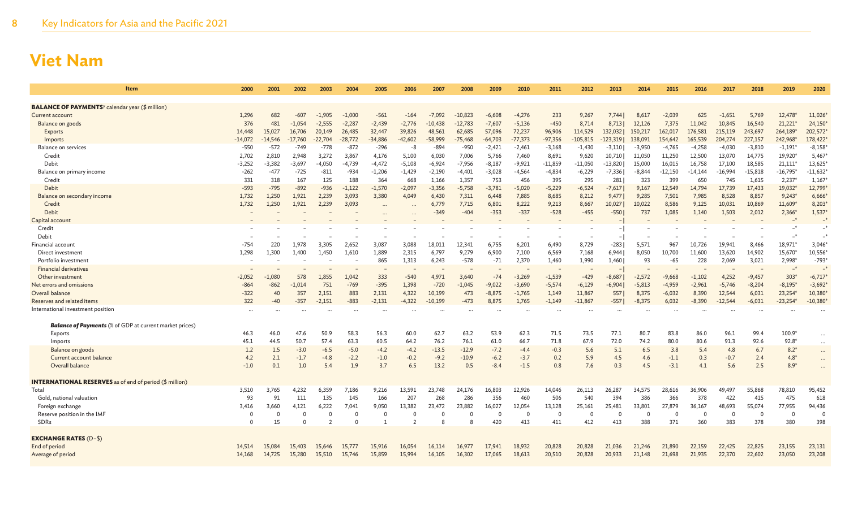| Item                                                               | 2000           | 2001      | 2002      | 2003      | 2004           | 2005      | 2006      | 2007      | 2008      | 2009      | 2010           | 2011      | 2012       | 2013      | 2014     | 2015      | 2016      | 2017      | 2018      | 2019       | 2020                 |
|--------------------------------------------------------------------|----------------|-----------|-----------|-----------|----------------|-----------|-----------|-----------|-----------|-----------|----------------|-----------|------------|-----------|----------|-----------|-----------|-----------|-----------|------------|----------------------|
| <b>BALANCE OF PAYMENTS</b> <sup>y</sup> calendar year (\$ million) |                |           |           |           |                |           |           |           |           |           |                |           |            |           |          |           |           |           |           |            |                      |
| Current account                                                    | 1,296          | 682       | $-607$    | $-1,905$  | $-1,000$       | $-561$    | $-164$    | $-7,092$  | $-10,823$ | $-6,608$  | $-4,276$       | 233       | 9,267      | 7,744     | 8,617    | $-2,039$  | 625       | $-1,651$  | 5,769     | 12,478*    | 11,026               |
| Balance on goods                                                   | 376            | 481       | $-1,054$  | $-2,555$  | $-2,287$       | $-2,439$  | $-2,776$  | $-10,438$ | $-12,783$ | $-7,607$  | $-5,136$       | $-450$    | 8,714      | 8,713     | 12,126   | 7,375     | 11,042    | 10,845    | 16,540    | $21,221*$  | 24,150               |
| Exports                                                            | 14,448         | 15,027    | 16,706    | 20,149    | 26,485         | 32,447    | 39,826    | 48,561    | 62,685    | 57,096    | 72,237         | 96,906    | 114,529    | 132,032   | 150,217  | 162,017   | 176,581   | 215,119   | 243,697   | 264,189*   | 202,572              |
| Imports                                                            | -14,072        | $-14,546$ | $-17,760$ | $-22,704$ | $-28,772$      | $-34,886$ | $-42,602$ | $-58,999$ | $-75,468$ | $-64,703$ | $-77,373$      | $-97,356$ | $-105,815$ | 123,319   | 138,091  | 154,642   | 165,539   | 204,274   | 227,157   | 242,968*   | 178,422              |
| Balance on services                                                | $-550$         | $-572$    | $-749$    | $-778$    | $-872$         | $-296$    | -8        | $-894$    | $-950$    | $-2,421$  | $-2,461$       | $-3,168$  | $-1,430$   | $-3,110$  | $-3,950$ | $-4,765$  | $-4,258$  | $-4,030$  | $-3,810$  | $-1,191*$  | $-8,158'$            |
| Credit                                                             | 2,702          | 2,810     | 2,948     | 3,272     | 3,867          | 4,176     | 5,100     | 6,030     | 7,006     | 5,766     | 7,460          | 8,691     | 9,620      | 10,710    | 11,050   | 11,250    | 12,500    | 13,070    | 14,775    | 19,920*    | 5,467                |
| Debit                                                              | $-3,252$       | $-3,382$  | $-3,697$  | $-4,050$  | $-4,739$       | $-4,472$  | $-5,108$  | $-6,924$  | $-7,956$  | $-8,187$  | $-9,921$       | $-11,859$ | $-11,050$  | $-13,820$ | 15,000   | 16,015    | 16,758    | 17,100    | 18,585    | $21,111*$  | 13,625'              |
| Balance on primary income                                          | $-262$         | $-477$    | $-725$    | $-811$    | $-934$         | $-1,206$  | $-1,429$  | $-2,190$  | $-4,401$  | $-3,028$  | $-4,564$       | $-4,834$  | $-6,229$   | $-7,336$  | $-8,844$ | $-12,150$ | $-14,144$ | $-16,994$ | $-15,818$ | $-16,795*$ | $-11,632'$           |
| Credit                                                             | 331            | 318       | 167       | 125       | 188            | 364       | 668       | 1,166     | 1,357     | 753       | 456            | 395       | 295        | 281       | 323      | 399       | 650       | 745       | 1,615     | 2,237'     | 1,167'               |
| Debit                                                              | $-593$         | $-795$    | $-892$    | $-936$    | $-1,122$       | $-1,570$  | $-2,097$  | $-3,356$  | $-5,758$  | $-3,781$  | $-5,020$       | $-5,229$  | $-6,524$   | $-7,617$  | 9,167    | 12,549    | 14,794    | 17,739    | 17,433    | 19,032*    | 12,799'              |
| Balance on secondary income                                        | 1,732          | 1,250     | 1,921     | 2,239     | 3,093          | 3,380     | 4,049     | 6,430     | 7,311     | 6,448     | 7,885          | 8,685     | 8,212      | 9,477     | 9,285    | 7,501     | 7,985     | 8,528     | 8,857     | $9,243*$   | $6,666*$             |
| Credit                                                             | 1,732          | 1,250     | 1,921     | 2,239     | 3,093          |           |           | 6,779     | 7,715     | 6,801     | 8,222          | 9,213     | 8,667      | 10,027    | 10,022   | 8,586     | 9,125     | 10,031    | 10,869    | 11,609*    | 8,203'               |
| Debit                                                              |                |           |           |           |                |           |           | $-349$    | $-404$    | $-353$    | $-337$         | $-528$    | $-455$     | $-550$    | 737      | 1,085     | 1,140     | 1,503     | 2,012     | $2,366*$   | $1,537*$             |
| Capital account                                                    |                |           |           |           |                |           |           |           |           |           |                |           |            |           |          |           |           |           |           | $-$ *      | $-$ *                |
| Credit                                                             |                |           |           |           |                |           |           |           |           |           |                |           |            |           |          |           |           |           |           |            |                      |
| Debit                                                              |                |           |           |           |                |           |           |           |           |           |                |           |            |           |          |           |           |           |           | $-*$       |                      |
| Financial account                                                  | $-754$         | 220       | 1.978     | 3,305     | 2,652          | 3,087     | 3,088     | 18,011    | 12,341    | 6,755     | 6,201          | 6,490     | 8,729      | $-283$    | 5,571    | 967       | 10,726    | 19,941    | 8,466     | 18,971*    | 3,046                |
| Direct investment                                                  | 1,298          | 1,300     | 1,400     | 1,450     | 1,610          | 1,889     | 2,315     | 6,797     | 9,279     | 6,900     | 7,100          | 6,569     | 7,168      | 6,944     | 8,050    | 10,700    | 11,600    | 13,620    | 14,902    | 15,670*    | 10,556               |
| Portfolio investment                                               | $\overline{a}$ |           |           |           |                | 865       | 1,313     | 6,243     | $-578$    | $-71$     | 2,370          | 1,460     | 1,990      | 1,460     | 93       | $-65$     | 228       | 2,069     | 3,021     | 2,998*     | $-793*$              |
| <b>Financial derivatives</b>                                       |                |           |           |           |                |           |           |           |           |           |                |           |            |           |          |           |           |           |           | $-$ *      |                      |
| Other investment                                                   | $-2,052$       | $-1,080$  | 578       | 1,855     | 1,042          | 333       | $-540$    | 4,971     | 3,640     | $-74$     | $-3,269$       | $-1,539$  | $-429$     | $-8,687$  | $-2,572$ | $-9,668$  | $-1,102$  | 4,252     | $-9,457$  | 303*       | $-6,717'$            |
| Net errors and omissions                                           | $-864$         | $-862$    | $-1,014$  | 751       | $-769$         | $-395$    | 1,398     | $-720$    | $-1,045$  | $-9,022$  | $-3,690$       | $-5,574$  | $-6,129$   | $-6,904$  | $-5,813$ | $-4,959$  | $-2,961$  | $-5,746$  | $-8,204$  | $-8,195*$  | $-3,692'$            |
| Overall balance                                                    | $-322$         | 40        | 357       | 2,151     | 883            | 2,131     | 4,322     | 10,199    | 473       | $-8,875$  | $-1,765$       | 1,149     | 11,867     | 557       | 8,375    | $-6,032$  | 8,390     | 12,544    | 6,031     | 23,254*    | 10,380               |
| Reserves and related items                                         | 322            | -40       | $-357$    | $-2,151$  | $-883$         | $-2,131$  | $-4,322$  | $-10,199$ | $-473$    | 8,875     | 1,765          | $-1,149$  | $-11,867$  | -557      | $-8,375$ | 6,032     | $-8,390$  | $-12,544$ | $-6,031$  | $-23,254*$ | $-10,380$            |
| International investment position                                  | $\cdots$       |           |           |           | $\cdots$       |           |           |           |           |           |                |           | $\cdots$   |           |          |           |           |           | $\cdots$  |            |                      |
|                                                                    |                |           |           |           |                |           |           |           |           |           |                |           |            |           |          |           |           |           |           |            |                      |
| <b>Balance of Payments</b> (% of GDP at current market prices)     |                |           |           |           |                |           |           |           |           |           |                |           |            |           |          |           |           |           |           |            |                      |
| Exports                                                            | 46.3           | 46.0      | 47.6      | 50.9      | 58.3           | 56.3      | 60.0      | 62.7      | 63.2      | 53.9      | 62.3           | 71.5      | 73.5       | 77.1      | 80.7     | 83.8      | 86.0      | 96.1      | 99.4      | $100.9*$   | $\cdots$             |
| Imports                                                            | 45.1           | 44.5      | 50.7      | 57.4      | 63.3           | 60.5      | 64.2      | 76.2      | 76.1      | 61.0      | 66.7           | 71.8      | 67.9       | 72.0      | 74.2     | 80.0      | 80.6      | 91.3      | 92.6      | $92.8*$    | $\cdots$             |
| Balance on goods                                                   | 1.2            | 1.5       | $-3.0$    | $-6.5$    | $-5.0$         | $-4.2$    | $-4.2$    | $-13.5$   | $-12.9$   | $-7.2$    | $-4.4$         | $-0.3$    | 5.6        | 5.1       | 6.5      | 3.8       | 5.4       | 4.8       | 6.7       | $8.2*$     | $\cdots$             |
| Current account balance                                            | 4.2            | 2.1       | $-1.7$    | $-4.8$    | $-2.2$         | $-1.0$    | $-0.2$    | $-9.2$    | $-10.9$   | $-6.2$    | $-3.7$         | 0.2       | 5.9        | 4.5       | 4.6      | $-1.1$    | 0.3       | $-0.7$    | 2.4       | $4.8*$     | $\cdots$             |
| Overall balance                                                    | $-1.0$         | 0.1       | 1.0       | 5.4       | 1.9            | 3.7       | 6.5       | 13.2      | 0.5       | $-8.4$    | $-1.5$         | 0.8       | 7.6        | 0.3       | 4.5      | $-3.1$    | 4.1       | 5.6       | 2.5       | $8.9*$     | $\ddot{\phantom{a}}$ |
| <b>INTERNATIONAL RESERVES</b> as of end of period (\$ million)     |                |           |           |           |                |           |           |           |           |           |                |           |            |           |          |           |           |           |           |            |                      |
| Total                                                              | 3,510          | 3,765     | 4,232     | 6,359     | 7,186          | 9,216     | 13,591    | 23,748    | 24,176    | 16,803    | 12,926         | 14,046    | 26,113     | 26,287    | 34,575   | 28,616    | 36,906    | 49,497    | 55,868    | 78,810     | 95,452               |
| Gold, national valuation                                           | 93             | 91        | 111       | 135       | 145            | 166       | 207       | 268       | 286       | 356       | 460            | 506       | 540        | 394       | 386      | 366       | 378       | 422       | 415       | 475        | 618                  |
| Foreign exchange                                                   | 3,416          | 3,660     | 4,121     | 6,222     | 7,041          | 9,050     | 13,382    | 23,472    | 23,882    | 16,027    | 12,054         | 13,128    | 25,161     | 25,481    | 33,801   | 27,879    | 36,167    | 48,693    | 55,074    | 77,955     | 94,436               |
| Reserve position in the IMF                                        | $\Omega$       |           | $\Omega$  | $\Omega$  | $\overline{0}$ |           | $\Omega$  | O         |           | $\Omega$  | $\overline{0}$ | $\Omega$  | $\Omega$   | $\Omega$  | $\Omega$ | $\Omega$  | 0         | $\Omega$  | $\Omega$  | 0          | $\mathbf{C}$         |
| SDRs                                                               |                | 15        | $\Omega$  |           | $\Omega$       |           |           |           |           | 420       | 413            | 411       | 412        | 413       | 388      | 371       | 360       | 383       | 378       | 380        | 398                  |
|                                                                    |                |           |           |           |                |           |           |           |           |           |                |           |            |           |          |           |           |           |           |            |                      |
| <b>EXCHANGE RATES (D-\$)</b>                                       |                |           |           |           |                |           |           |           |           |           |                |           |            |           |          |           |           |           |           |            |                      |
| End of period                                                      | 14,514         | 15,084    | 15,403    | 15,646    | 15,777         | 15,916    | 16,054    | 16,114    | 16,977    | 17,941    | 18,932         | 20,828    | 20,828     | 21,036    | 21,246   | 21,890    | 22,159    | 22,425    | 22,825    | 23,155     | 23,131               |
| Average of period                                                  | 14,168         | 14,725    | 15,280    | 15,510    | 15,746         | 15,859    | 15,994    | 16,105    | 16,302    | 17,065    | 18,613         | 20,510    | 20,828     | 20,933    | 21,148   | 21,698    | 21,935    | 22,370    | 22,602    | 23,050     | 23,208               |
|                                                                    |                |           |           |           |                |           |           |           |           |           |                |           |            |           |          |           |           |           |           |            |                      |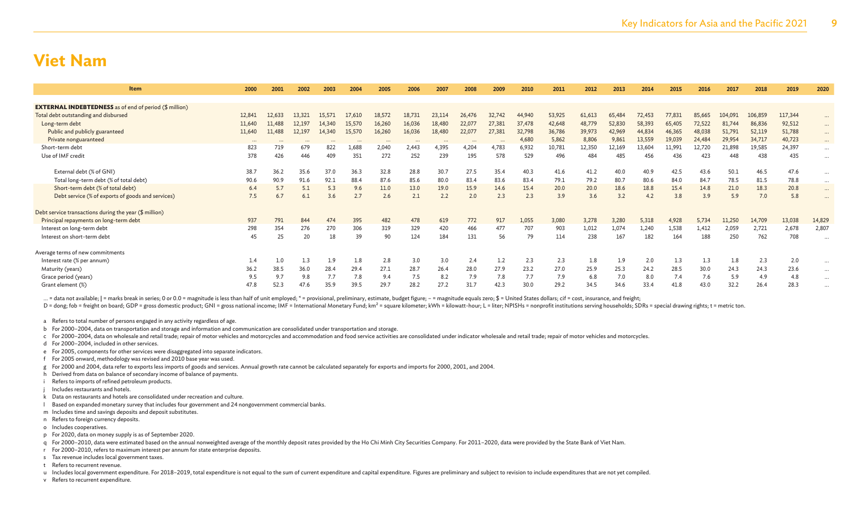| <b>Item</b>                                                   | 2000     | 2001   | 2002   | 2003   | 2004   | 2005   | 2006   | 2007   | 2008   | 2009   | 2010   | 2011   | 2012   | 2013   | 2014   | 2015   | 2016   | 2017    | 2018    | 2019    | 2020     |
|---------------------------------------------------------------|----------|--------|--------|--------|--------|--------|--------|--------|--------|--------|--------|--------|--------|--------|--------|--------|--------|---------|---------|---------|----------|
|                                                               |          |        |        |        |        |        |        |        |        |        |        |        |        |        |        |        |        |         |         |         |          |
| <b>EXTERNAL INDEBTEDNESS</b> as of end of period (\$ million) |          |        |        |        |        |        |        |        |        |        |        |        |        |        |        |        |        |         |         |         |          |
| Total debt outstanding and disbursed                          | 12,84    | 12,633 | 13,321 | 15,571 | 17,610 | 18,572 | 18,731 | 23,114 | 26,476 | 32,742 | 44,940 | 53,925 | 61,613 | 65,484 | 72,453 | 77,831 | 85,665 | 104.091 | 106,859 | 117,344 | $\cdots$ |
| Long-term debt                                                | 11,640   | 11,488 | 12,197 | 14,340 | 15,570 | 16,260 | 16,036 | 18,480 | 22,077 | 27,381 | 37,478 | 42,648 | 48,779 | 52,830 | 58,393 | 65,405 | 72,522 | 81,744  | 86,836  | 92,512  | $\cdots$ |
| Public and publicly guaranteed                                | 11,640   | 11,488 | 12,197 | 14,340 | 15,570 | 16,260 | 16,036 | 18,480 | 22,077 | 27,381 | 32,798 | 36,786 | 39,973 | 42,969 | 44,834 | 46,365 | 48,038 | 51,791  | 52,119  | 51,788  | $\cdots$ |
| Private nonguaranteed                                         | $\cdots$ |        |        |        |        |        |        |        |        |        | 4,680  | 5,862  | 8,806  | 9,861  | 13,559 | 19,039 | 24,484 | 29,954  | 34,717  | 40,723  | $\cdots$ |
| Short-term debt                                               | 823      | 719    | 679    | 822    | 1,688  | 2,040  | 2,443  | 4,395  | 4,204  | 4,783  | 6,932  | 10,781 | 12,350 | 12,169 | 13,604 | 11,991 | 12,720 | 21,898  | 19,585  | 24,397  | $\cdots$ |
| Use of IMF credit                                             | 378      | 426    | 446    | 409    | 351    | 272    | 252    | 239    | 195    | 578    | 529    | 496    | 484    | 485    | 456    | 436    | 423    | 448     | 438     | 435     |          |
|                                                               |          |        |        |        |        |        |        |        |        |        |        |        |        |        |        |        |        |         |         |         |          |
| External debt (% of GNI)                                      | 38.7     | 36.2   | 35.6   | 37.0   | 36.3   | 32.8   | 28.8   | 30.7   | 27.5   | 35.4   | 40.3   | 41.6   | 41.2   | 40.0   | 40.9   | 42.5   | 43.6   | 50.1    | 46.5    | 47.6    |          |
| Total long-term debt (% of total debt)                        | 90.6     | 90.9   | 91.6   | 92.1   | 88.4   | 87.6   | 85.6   | 80.0   | 83.4   | 83.6   | 83.4   | 79.1   | 79.2   | 80.7   | 80.6   | 84.0   | 84.7   | 78.5    | 81.5    | 78.8    | $\cdots$ |
| Short-term debt (% of total debt)                             | 6.4      | 5.7    | 5.1    | 5.3    | 9.6    | 11.0   | 13.0   | 19.0   | 15.9   | 14.6   | 15.4   | 20.0   | 20.0   | 18.6   | 18.8   | 15.4   | 14.8   | 21.0    | 18.3    | 20.8    | $\cdots$ |
| Debt service (% of exports of goods and services)             | 7.5      | 6.7    | 6.1    | 3.6    | 2.7    | 2.6    | 2.1    | 2.2    | 2.0    | 2.3    | 2.3    | 3.9    | 3.6    | 3.2    | 4.2    | 3.8    | 3.9    | 5.9     | 7.0     | 5.8     | $\cdots$ |
|                                                               |          |        |        |        |        |        |        |        |        |        |        |        |        |        |        |        |        |         |         |         |          |
| Debt service transactions during the year (\$ million)        |          |        |        |        |        |        |        |        |        |        |        |        |        |        |        |        |        |         |         |         |          |
| Principal repayments on long-term debt                        | 937      | 791    | 844    | 474    | 395    | 482    | 478    | 619    | 772    | 917    | 1,055  | 3,080  | 3,278  | 3,280  | 5,318  | 4,928  | 5,734  | 11,250  | 14,709  | 13,038  | 14,829   |
| Interest on long-term debt                                    | 298      | 354    | 276    | 270    | 306    | 319    | 329    | 420    | 466    | 477    | 707    | 903    | 1,012  | 1,074  | 1,240  | 1,538  | 1,412  | 2,059   | 2,721   | 2,678   | 2,807    |
| Interest on short-term debt                                   | 45       | 25     | 20     | 18     | 39     | 90     | 124    | 184    | 131    | 56     | 79     | 114    | 238    | 167    | 182    | 164    | 188    | 250     | 762     | 708     |          |
|                                                               |          |        |        |        |        |        |        |        |        |        |        |        |        |        |        |        |        |         |         |         |          |
| Average terms of new commitments                              |          |        |        |        |        |        |        |        |        |        |        |        |        |        |        |        |        |         |         |         |          |
| Interest rate (% per annum)                                   | 1.4      | 1.0    | 1.3    | 1.9    | 1.8    | 2.8    | 3.0    | 3.0    | 2.4    | 1.2    | 2.3    | 2.3    | 1.8    | 1.9    | 2.0    | 1.3    | 1.3    | 1.8     | 2.3     | 2.0     |          |
| Maturity (years)                                              | 36.2     | 38.5   | 36.0   | 28.4   | 29.4   | 27.1   | 28.7   | 26.4   | 28.0   | 27.9   | 23.2   | 27.0   | 25.9   | 25.3   | 24.2   | 28.5   | 30.0   | 24.3    | 24.3    | 23.6    | $\cdots$ |
| Grace period (years)                                          | 9.5      | 9.7    | 9.8    | 7.7    | 7.8    | 9.4    | 7.5    | 8.2    | 7.9    | 7.8    | 7.7    | 7.9    | 6.8    | 7.0    | 8.0    | 7.4    | 7.6    | 5.9     | 4.9     | 4.8     | $\cdots$ |
| Grant element (%)                                             | 47.8     | 52.3   | 47.6   | 35.9   | 39.5   | 29.7   | 28.2   | 27.2   | 31.7   | 42.3   | 30.0   | 29.2   | 34.5   | 34.6   | 33.4   | 41.8   | 43.0   | 32.2    | 26.4    | 28.3    |          |

... = data not available; | = marks break in series; 0 or 0.0 = magnitude is less than half of unit employed; \* = provisional, preliminary, estimate, budget figure; - = magnitude equals zero; \$ = United States dollars; cif

D = dong; fob = freight on board; GDP = gross domestic product; GNI = gross national income; IMF = International Monetary Fund; km<sup>2</sup> = square kilometer; kWh = kilowatt-hour; L = liter; NPISHs = nonprofit institutions serv

a Refers to total number of persons engaged in any activity regardless of age.

b For 2000–2004, data on transportation and storage and information and communication are consolidated under transportation and storage.

c For 2000-2004, data on wholesale and retail trade; repair of motor vehicles and motorcycles and accommodation and food service activities are consolidated under indicator wholesale and retail trade; repair of motor vehic

d For 2000–2004, included in other services.

e For 2005, components for other services were disaggregated into separate indicators.

f For 2005 onward, methodology was revised and 2010 base year was used.

g For 2000 and 2004, data refer to exports less imports of goods and services. Annual growth rate cannot be calculated separately for exports and imports for 2000, 2001, and 2004.

- h Derived from data on balance of secondary income of balance of payments.
- i Refers to imports of refined petroleum products.

Includes restaurants and hotels.

- k Data on restaurants and hotels are consolidated under recreation and culture.
- l Based on expanded monetary survey that includes four government and 24 nongovernment commercial banks.
- m Includes time and savings deposits and deposit substitutes.
- n Refers to foreign currency deposits.
- o Includes cooperatives.
- p For 2020, data on money supply is as of September 2020.

q For 2000–2010, data were estimated based on the annual nonweighted average of the monthly deposit rates provided by the Ho Chi Minh City Securities Company. For 2011–2020, data were provided by the State Bank of Viet Nam

- r For 2000–2010, refers to maximum interest per annum for state enterprise deposits.
- s Tax revenue includes local government taxes.
- t Refers to recurrent revenue.

u Includes local government expenditure. For 2018-2019, total expenditure is not equal to the sum of current expenditure and capital expenditure. Figures are preliminary and subject to revision to include expenditures that

v Refers to recurrent expenditure.